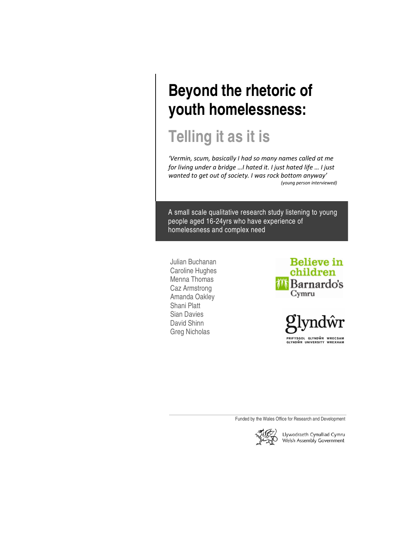# **Beyond the rhetoric of youth homelessness:**

# **Telling it as it is**

'Vermin, scum, basically I had so many names called at me for living under a bridge ...I hated it. I just hated life ... I just wanted to get out of society. I was rock bottom anyway' (young person interviewed)

A small scale qualitative research study listening to young people aged 16-24yrs who have experience of homelessness and complex need

Julian Buchanan Caroline Hughes Menna Thomas Caz Armstrong Amanda Oakley Shani Platt Sian Davies David Shinn Greg Nicholas

**Believe in** children **Barnardo's** Cymru



Funded by the Wales Office for Research and Development



Llywodraeth Cynulliad Cymru<br>Welsh Assembly Government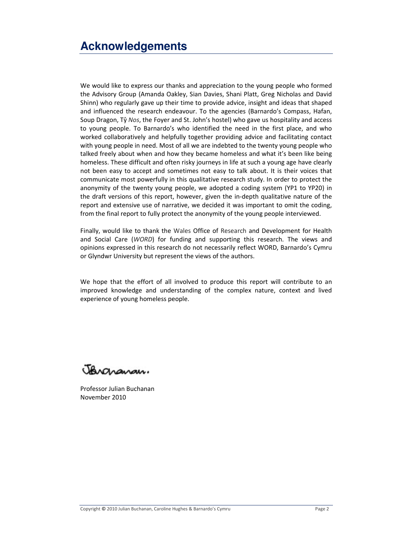We would like to express our thanks and appreciation to the young people who formed the Advisory Group (Amanda Oakley, Sian Davies, Shani Platt, Greg Nicholas and David Shinn) who regularly gave up their time to provide advice, insight and ideas that shaped and influenced the research endeavour. To the agencies (Barnardo's Compass, Hafan, Soup Dragon, Tŷ Nos, the Foyer and St. John's hostel) who gave us hospitality and access to young people. To Barnardo's who identified the need in the first place, and who worked collaboratively and helpfully together providing advice and facilitating contact with young people in need. Most of all we are indebted to the twenty young people who talked freely about when and how they became homeless and what it's been like being homeless. These difficult and often risky journeys in life at such a young age have clearly not been easy to accept and sometimes not easy to talk about. It is their voices that communicate most powerfully in this qualitative research study. In order to protect the anonymity of the twenty young people, we adopted a coding system (YP1 to YP20) in the draft versions of this report, however, given the in-depth qualitative nature of the report and extensive use of narrative, we decided it was important to omit the coding, from the final report to fully protect the anonymity of the young people interviewed.

Finally, would like to thank the Wales Office of Research and Development for Health and Social Care (WORD) for funding and supporting this research. The views and opinions expressed in this research do not necessarily reflect WORD, Barnardo's Cymru or Glyndwr University but represent the views of the authors.

We hope that the effort of all involved to produce this report will contribute to an improved knowledge and understanding of the complex nature, context and lived experience of young homeless people.

Angranan.

Professor Julian Buchanan November 2010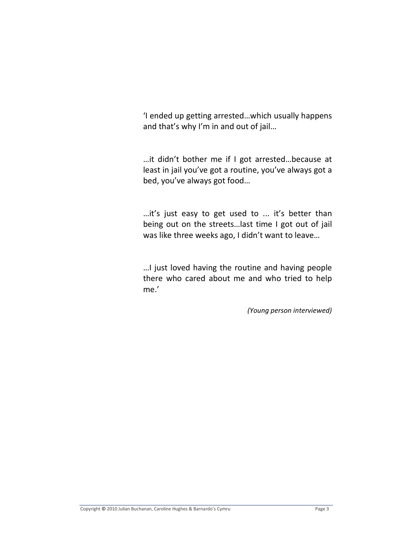'I ended up getting arrested...which usually happens and that's why I'm in and out of jail...

...it didn't bother me if I got arrested...because at least in jail you've got a routine, you've always got a bed, you've always got food...

...it's just easy to get used to ... it's better than being out on the streets...last time I got out of jail was like three weeks ago, I didn't want to leave...

... I just loved having the routine and having people there who cared about me and who tried to help me.'

(Young person interviewed)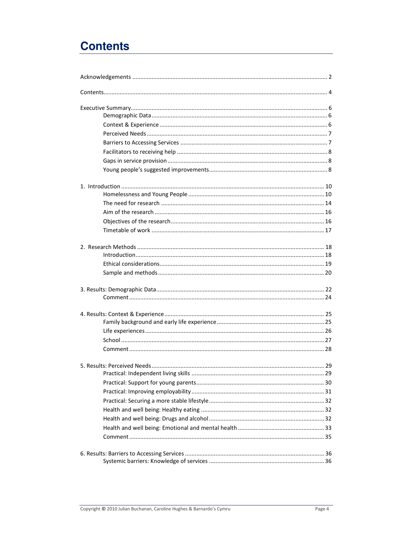### **Contents**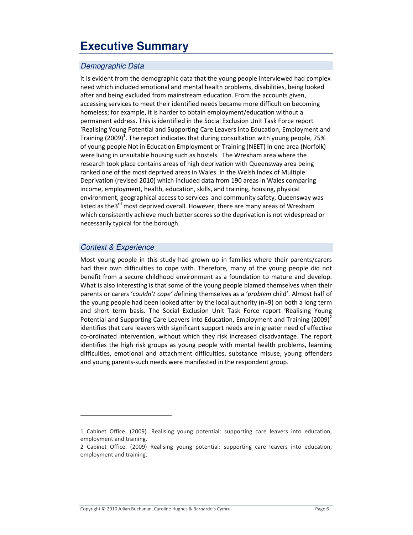# **Executive Summary**

### Demographic Data

It is evident from the demographic data that the young people interviewed had complex need which included emotional and mental health problems, disabilities, being looked after and being excluded from mainstream education. From the accounts given, accessing services to meet their identified needs became more difficult on becoming homeless; for example, it is harder to obtain employment/education without a permanent address. This is identified in the Social Exclusion Unit Task Force report 'Realising Young Potential and Supporting Care Leavers into Education, Employment and Training  $(2009)^1$ . The report indicates that during consultation with young people, 75% of young people Not in Education Employment or Training (NEET) in one area (Norfolk) were living in unsuitable housing such as hostels. The Wrexham area where the research took place contains areas of high deprivation with Queensway area being ranked one of the most deprived areas in Wales. In the Welsh Index of Multiple Deprivation (revised 2010) which included data from 190 areas in Wales comparing income, employment, health, education, skills, and training, housing, physical environment, geographical access to services and community safety, Queensway was listed as the3<sup>rd</sup> most deprived overall. However, there are many areas of Wrexham which consistently achieve much better scores so the deprivation is not widespread or necessarily typical for the borough.

### **Context & Experience**

Most young people in this study had grown up in families where their parents/carers had their own difficulties to cope with. Therefore, many of the young people did not benefit from a secure childhood environment as a foundation to mature and develop. What is also interesting is that some of the young people blamed themselves when their parents or carers 'couldn't cope' defining themselves as a 'problem child'. Almost half of the young people had been looked after by the local authority  $(n=9)$  on both a long term and short term basis. The Social Exclusion Unit Task Force report 'Realising Young Potential and Supporting Care Leavers into Education, Employment and Training (2009)<sup>2</sup> identifies that care leavers with significant support needs are in greater need of effective co-ordinated intervention, without which they risk increased disadvantage. The report identifies the high risk groups as young people with mental health problems, learning difficulties, emotional and attachment difficulties, substance misuse, young offenders and young parents-such needs were manifested in the respondent group.

<sup>1</sup> Cabinet Office. (2009). Realising young potential: supporting care leavers into education, employment and training.

<sup>2</sup> Cabinet Office. (2009) Realising young potential: supporting care leavers into education, employment and training.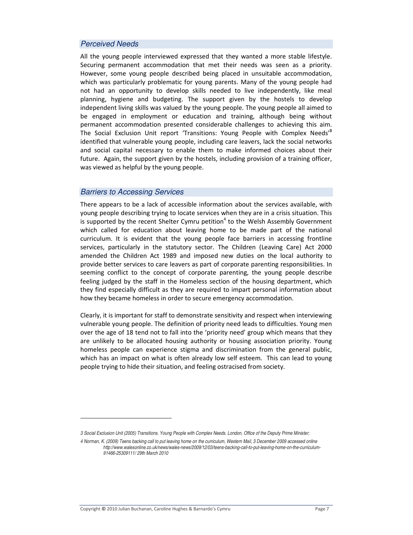### *Perceived Needs*

All the young people interviewed expressed that they wanted a more stable lifestyle. Securing permanent accommodation that met their needs was seen as a priority. However, some young people described being placed in unsuitable accommodation, which was particularly problematic for young parents. Many of the young people had not had an opportunity to develop skills needed to live independently, like meal planning, hygiene and budgeting. The support given by the hostels to develop independent living skills was valued by the young people. The young people all aimed to be engaged in employment or education and training, although being without permanent accommodation presented considerable challenges to achieving this aim. The Social Exclusion Unit report 'Transitions: Young People with Complex Needs<sup>,3</sup> identified that vulnerable young people, including care leavers, lack the social networks and social capital necessary to enable them to make informed choices about their future. Again, the support given by the hostels, including provision of a training officer, was viewed as helpful by the young people.

### *Barriers to Accessing Services*

There appears to be a lack of accessible information about the services available, with young people describing trying to locate services when they are in a crisis situation. This is supported by the recent Shelter Cymru petition<sup>4</sup> to the Welsh Assembly Government which called for education about leaving home to be made part of the national curriculum. It is evident that the young people face barriers in accessing frontline services, particularly in the statutory sector. The Children (Leaving Care) Act 2000 amended the Children Act 1989 and imposed new duties on the local authority to provide better services to care leavers as part of corporate parenting responsibilities. In seeming conflict to the concept of corporate parenting, the young people describe feeling judged by the staff in the Homeless section of the housing department, which they find especially difficult as they are required to impart personal information about how they became homeless in order to secure emergency accommodation.

Clearly, it is important for staff to demonstrate sensitivity and respect when interviewing vulnerable young people. The definition of priority need leads to difficulties. Young men over the age of 18 tend not to fall into the 'priority need' group which means that they are unlikely to be allocated housing authority or housing association priority. Young homeless people can experience stigma and discrimination from the general public, which has an impact on what is often already low self esteem. This can lead to young people trying to hide their situation, and feeling ostracised from society.

<sup>3</sup> Social Exclusion Unit (2005) Transitions. Young People with Complex Needs. London, Office of the Deputy Prime Minister;

<sup>4</sup> Norman, K. (2009) Teens backing call to put leaving home on the curriculum, Western Mail, 3 December 2009 accessed online *http://www.walesonline.co.uk/news/wales-news/2009/12/03/teens-backing-call-to-put-leaving-home-on-the-curriculum-91466-25309111/ 29th March 2010*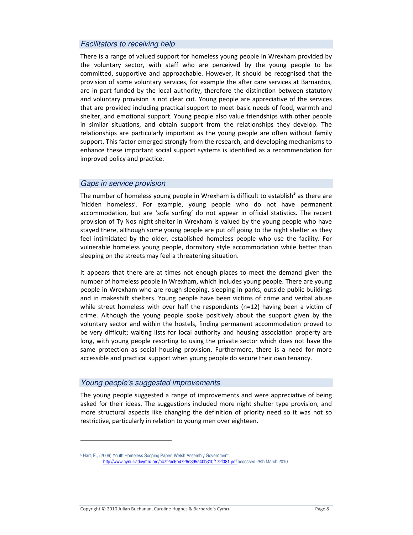### *Facilitators to receiving help*

There is a range of valued support for homeless young people in Wrexham provided by the voluntary sector, with staff who are perceived by the young people to be committed, supportive and approachable. However, it should be recognised that the provision of some voluntary services, for example the after care services at Barnardos, are in part funded by the local authority, therefore the distinction between statutory and voluntary provision is not clear cut. Young people are appreciative of the services that are provided including practical support to meet basic needs of food, warmth and shelter, and emotional support. Young people also value friendships with other people in similar situations, and obtain support from the relationships they develop. The relationships are particularly important as the young people are often without family support. This factor emerged strongly from the research, and developing mechanisms to enhance these important social support systems is identified as a recommendation for improved policy and practice.

#### *Gaps in service provision*

The number of homeless young people in Wrexham is difficult to establish<sup>5</sup> as there are 'hidden homeless'. For example, young people who do not have permanent accommodation, but are 'sofa surfing' do not appear in official statistics. The recent provision of Ty Nos night shelter in Wrexham is valued by the young people who have stayed there, although some young people are put off going to the night shelter as they feel intimidated by the older, established homeless people who use the facility. For vulnerable homeless young people, dormitory style accommodation while better than sleeping on the streets may feel a threatening situation.

It appears that there are at times not enough places to meet the demand given the number of homeless people in Wrexham, which includes young people. There are young people in Wrexham who are rough sleeping, sleeping in parks, outside public buildings and in makeshift shelters. Young people have been victims of crime and verbal abuse while street homeless with over half the respondents (n=12) having been a victim of crime. Although the young people spoke positively about the support given by the voluntary sector and within the hostels, finding permanent accommodation proved to be very difficult; waiting lists for local authority and housing association property are long, with young people resorting to using the private sector which does not have the same protection as social housing provision. Furthermore, there is a need for more accessible and practical support when young people do secure their own tenancy.

### *Young people's suggested improvements*

The young people suggested a range of improvements and were appreciative of being asked for their ideas. The suggestions included more night shelter type provision, and more structural aspects like changing the definition of priority need so it was not so restrictive, particularly in relation to young men over eighteen.

<sup>5</sup> Hart, E., (2006) Youth Homeless Scoping Paper, Welsh Assembly Government, http://www.cynulliadcymru.org/c47f2ac6b4726e395a40b310f172f081.pdf accessed 25th March 2010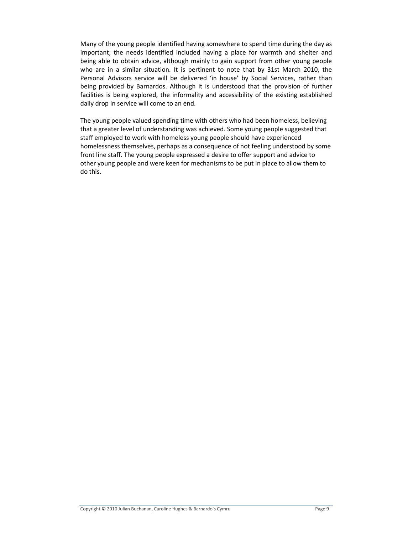Many of the young people identified having somewhere to spend time during the day as important; the needs identified included having a place for warmth and shelter and being able to obtain advice, although mainly to gain support from other young people who are in a similar situation. It is pertinent to note that by 31st March 2010, the Personal Advisors service will be delivered 'in house' by Social Services, rather than being provided by Barnardos. Although it is understood that the provision of further facilities is being explored, the informality and accessibility of the existing established daily drop in service will come to an end.

The young people valued spending time with others who had been homeless, believing that a greater level of understanding was achieved. Some young people suggested that staff employed to work with homeless young people should have experienced homelessness themselves, perhaps as a consequence of not feeling understood by some front line staff. The young people expressed a desire to offer support and advice to other young people and were keen for mechanisms to be put in place to allow them to do this.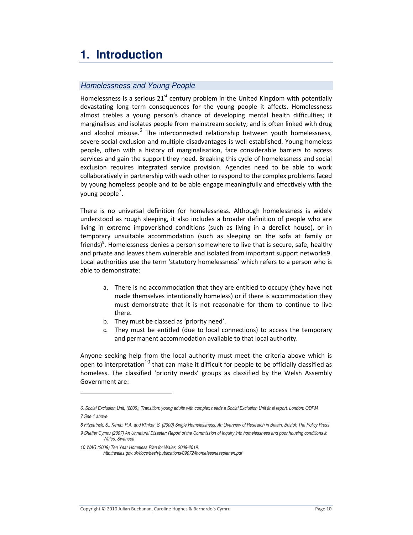## **1. Introduction**

### *Homelessness and Young People*

Homelessness is a serious 21<sup>st</sup> century problem in the United Kingdom with potentially devastating long term consequences for the young people it affects. Homelessness almost trebles a young person's chance of developing mental health difficulties; it marginalises and isolates people from mainstream society; and is often linked with drug and alcohol misuse.<sup>6</sup> The interconnected relationship between youth homelessness, severe social exclusion and multiple disadvantages is well established. Young homeless people, often with a history of marginalisation, face considerable barriers to access services and gain the support they need. Breaking this cycle of homelessness and social exclusion requires integrated service provision. Agencies need to be able to work collaboratively in partnership with each other to respond to the complex problems faced by young homeless people and to be able engage meaningfully and effectively with the young people<sup>7</sup>.

There is no universal definition for homelessness. Although homelessness is widely understood as rough sleeping, it also includes a broader definition of people who are living in extreme impoverished conditions (such as living in a derelict house), or in temporary unsuitable accommodation (such as sleeping on the sofa at family or friends)<sup>8</sup>. Homelessness denies a person somewhere to live that is secure, safe, healthy and private and leaves them vulnerable and isolated from important support networks9. Local authorities use the term 'statutory homelessness' which refers to a person who is able to demonstrate:

- a. There is no accommodation that they are entitled to occupy (they have not made themselves intentionally homeless) or if there is accommodation they must demonstrate that it is not reasonable for them to continue to live there.
- b. They must be classed as 'priority need'.
- c. They must be entitled (due to local connections) to access the temporary and permanent accommodation available to that local authority.

Anyone seeking help from the local authority must meet the criteria above which is open to interpretation<sup>10</sup> that can make it difficult for people to be officially classified as homeless. The classified 'priority needs' groups as classified by the Welsh Assembly Government are:

<sup>6.</sup> Social Exclusion Unit, (2005), Transition: young adults with complex needs a Social Exclusion Unit final report, London: ODPM *7 See 1 above*

<sup>8</sup> Fitzpatrick, S., Kemp, P.A. and Klinker, S. (2000) Single Homelessness: An Overview of Research in Britain. Bristol: The Policy Press

<sup>9</sup> Shelter Cymru (2007) An Unnatural Disaster: Report of the Commission of Inquiry into homelessness and poor housing conditions in *Wales, Swansea*

*<sup>10</sup> WAG (2009) Ten Year Homeless Plan for Wales, 2009-2019,*

*http://wales.gov.uk/docs/desh/publications/090724homelessnessplanen.pdf*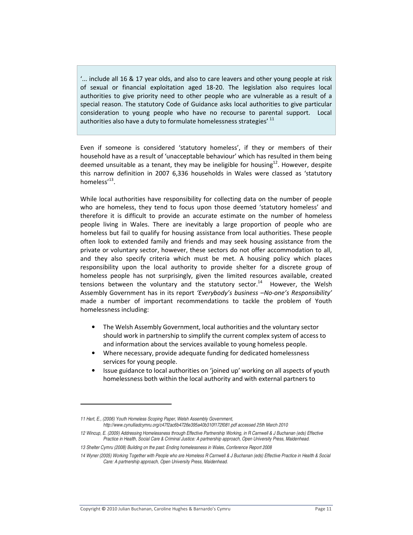'... include all 16 & 17 year olds, and also to care leavers and other young people at risk of sexual or financial exploitation aged 18-20. The legislation also requires local authorities to give priority need to other people who are vulnerable as a result of a special reason. The statutory Code of Guidance asks local authorities to give particular consideration to young people who have no recourse to parental support. Local authorities also have a duty to formulate homelessness strategies' <sup>11</sup>

Even if someone is considered 'statutory homeless', if they or members of their household have as a result of 'unacceptable behaviour' which has resulted in them being deemed unsuitable as a tenant, they may be ineligible for housing $^{12}$ . However, despite this narrow definition in 2007 6,336 households in Wales were classed as 'statutory homeless'<sup>13</sup>.

While local authorities have responsibility for collecting data on the number of people who are homeless, they tend to focus upon those deemed 'statutory homeless' and therefore it is difficult to provide an accurate estimate on the number of homeless people living in Wales. There are inevitably a large proportion of people who are homeless but fail to qualify for housing assistance from local authorities. These people often look to extended family and friends and may seek housing assistance from the private or voluntary sector, however, these sectors do not offer accommodation to all, and they also specify criteria which must be met. A housing policy which places responsibility upon the local authority to provide shelter for a discrete group of homeless people has not surprisingly, given the limited resources available, created tensions between the voluntary and the statutory sector.<sup>14</sup> However, the Welsh Assembly Government has in its report 'Everybody's business -No-one's Responsibility' made a number of important recommendations to tackle the problem of Youth homelessness including:

- The Welsh Assembly Government, local authorities and the voluntary sector should work in partnership to simplify the current complex system of access to and information about the services available to young homeless people.
- Where necessary, provide adequate funding for dedicated homelessness services for young people.
- Issue guidance to local authorities on 'joined up' working on all aspects of youth homelessness both within the local authority and with external partners to

*<sup>11</sup> Hart, E., (2006) Youth Homeless Scoping Paper, Welsh Assembly Government, http://www.cynulliadcymru.org/c47f2ac6b4726e395a40b310f172f081.pdf accessed 25th March 2010*

<sup>12</sup> Wincup, E. (2009) Addressing Homelessness through Effective Partnership Working, in R Carnwell & J Buchanan (eds) Effective *Practice in Health, Social Care & Criminal Justice: A partnership approach, Open University Press, Maidenhead.*

*<sup>13</sup> Shelter Cymru (2008) Building on the past: Ending homelessness in Wales, Conference Report 2008*

<sup>14</sup> Wyner (2005) Working Together with People who are Homeless R Carnwell & J Buchanan (eds) Effective Practice in Health & Social *Care: A partnership approach, Open University Press, Maidenhead.*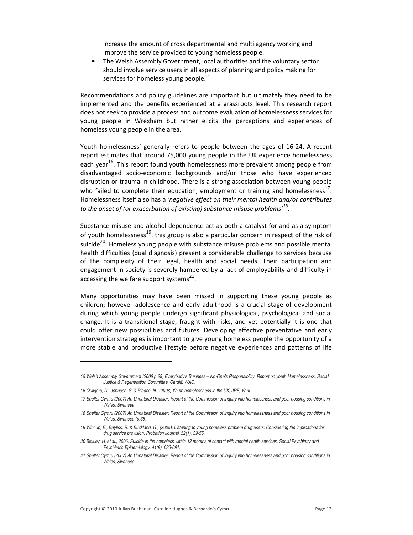increase the amount of cross departmental and multi agency working and improve the service provided to young homeless people.

• The Welsh Assembly Government, local authorities and the voluntary sector should involve service users in all aspects of planning and policy making for services for homeless young people.<sup>15</sup>

Recommendations and policy guidelines are important but ultimately they need to be implemented and the benefits experienced at a grassroots level. This research report does not seek to provide a process and outcome evaluation of homelessness services for young people in Wrexham but rather elicits the perceptions and experiences of homeless young people in the area.

Youth homelessness' generally refers to people between the ages of 16-24. A recent report estimates that around 75,000 young people in the UK experience homelessness each year<sup>16</sup>. This report found youth homelessness more prevalent among people fron disadvantaged socio-economic backgrounds and/or those who have experienced disruption or trauma in childhood. There is a strong association between young people who failed to complete their education, employment or training and homelessness<sup>17</sup>. Homelessness itself also has a 'negative effect on their mental health and/or contributes to the onset of (or exacerbation of existing) substance misuse problems $^{\prime18}.$ 

Substance misuse and alcohol dependence act as both a catalyst for and as a sympton of youth homelessness<sup>19</sup>, this group is also a particular concern in respect of the risk of suicide<sup>20</sup>. Homeless young people with substance misuse problems and possible mental health difficulties (dual diagnosis) present a considerable challenge to services because of the complexity of their legal, health and social needs. Their participation and engagement in society is severely hampered by a lack of employability and difficulty in accessing the welfare support systems<sup>21</sup>.

Many opportunities may have been missed in supporting these young people as children; however adolescence and early adulthood is a crucial stage of development during which young people undergo significant physiological, psychological and social change. It is a transitional stage, fraught with risks, and yet potentially it is one that could offer new possibilities and futures. Developing effective preventative and early intervention strategies is important to give young homeless people the opportunity of a more stable and productive lifestyle before negative experiences and patterns of life

<sup>15</sup> Welsh Assembly Government (2006 p.29) Everybody's Business - No-One's Responsibility, Report on youth Homelessness, Social *Justice & Regeneration Committee, Cardiff, WAG,*

*<sup>16</sup> Quilgars, D., Johnsen, S. & Pleace, N., (2008) Youth homelessness in the UK, JRF, York*

<sup>17</sup> Shelter Cymru (2007) An Unnatural Disaster: Report of the Commission of Inquiry into homelessness and poor housing conditions in *Wales, Swansea*

<sup>18</sup> Shelter Cymru (2007) An Unnatural Disaster: Report of the Commission of Inquiry into homelessness and poor housing conditions in *Wales, Swansea (p.36)*

<sup>19</sup> Wincup, E., Bayliss, R. & Buckland, G., (2005). Listening to young homeless problem drug users: Considering the implications for *drug service provision. Probation Journal, 52(1), 39-55.*

<sup>20</sup> Bickley, H. et al., 2006. Suicide in the homeless within 12 months of contact with mental health services. Social Psychiatry and *Psychiatric Epidemiology, 41(9), 686-691.*

<sup>21</sup> Shelter Cymru (2007) An Unnatural Disaster: Report of the Commission of Inquiry into homelessness and poor housing conditions in *Wales, Swansea*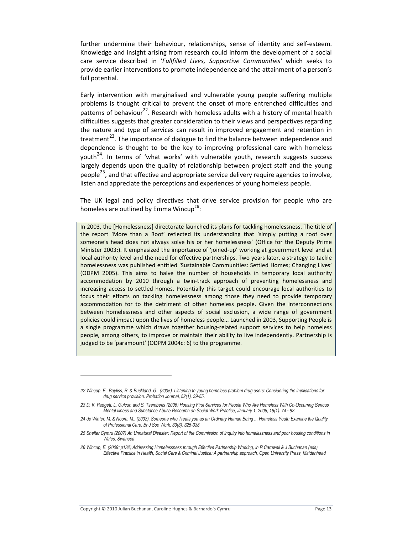further undermine their behaviour, relationships, sense of identity and self-esteem. Knowledge and insight arising from research could inform the development of a social care service described in 'Fullfilled Lives, Supportive Communities' which seeks to provide earlier interventions to promote independence and the attainment of a person's full potential.

Early intervention with marginalised and vulnerable young people suffering multiple problems is thought critical to prevent the onset of more entrenched difficulties and patterns of behaviour<sup>22</sup>. Research with homeless adults with a history of mental health difficulties suggests that greater consideration to their views and perspectives regarding the nature and type of services can result in improved engagement and retention in treatment<sup>23</sup>. The importance of dialogue to find the balance between independence and dependence is thought to be the key to improving professional care with homeless youth<sup>24</sup>. In terms of 'what works' with vulnerable youth, research suggests success largely depends upon the quality of relationship between project staff and the young people<sup>25</sup>, and that effective and appropriate service delivery require agencies to involve, listen and appreciate the perceptions and experiences of young homeless people.

The UK legal and policy directives that drive service provision for people who are homeless are outlined by Emma Wincup<sup>26</sup>:

In 2003, the [Homelessness] directorate launched its plans for tackling homelessness. The title of the report 'More than a Roof' reflected its understanding that 'simply putting a roof over someone's head does not always solve his or her homelessness' (Office for the Deputy Prime Minister 2003:). It emphasized the importance of 'joined-up' working at government level and at local authority level and the need for effective partnerships. Two years later, a strategy to tackle homelessness was published entitled 'Sustainable Communities: Settled Homes; Changing Lives' (ODPM 2005). This aims to halve the number of households in temporary local authority accommodation by 2010 through a twin-track approach of preventing homelessness and increasing access to settled homes. Potentially this target could encourage local authorities to focus their efforts on tackling homelessness among those they need to provide temporary accommodation for to the detriment of other homeless people. Given the interconnections between homelessness and other aspects of social exclusion, a wide range of government policies could impact upon the lives of homeless people... Launched in 2003, Supporting People is a single programme which draws together housing-related support services to help homeless people, among others, to improve or maintain their ability to live independently. Partnership is judged to be 'paramount' (ODPM 2004c: 6) to the programme.

<sup>22</sup> Wincup, E., Bayliss, R. & Buckland, G., (2005). Listening to young homeless problem drug users: Considering the implications for *drug service provision. Probation Journal, 52(1), 39-55.*

<sup>23</sup> D. K. Padgett, L. Gulcur, and S. Tsemberis (2006) Housing First Services for People Who Are Homeless With Co-Occurring Serious *Mental Illness and Substance Abuse Research on Social Work Practice, January 1, 2006; 16(1): 74 - 83.*

<sup>24</sup> de Winter, M. & Noom, M., (2003). Someone who Treats you as an Ordinary Human Being ... Homeless Youth Examine the Quality *of Professional Care. Br J Soc Work, 33(3), 325-338*

<sup>25</sup> Shelter Cymru (2007) An Unnatural Disaster: Report of the Commission of Inquiry into homelessness and poor housing conditions in *Wales, Swansea*

<sup>26</sup> Wincup, E. (2009: p132) Addressing Homelessness through Effective Partnership Working, in R Carnwell & J Buchanan (eds) Effective Practice in Health, Social Care & Criminal Justice: A partnership approach, Open University Press, Maidenhead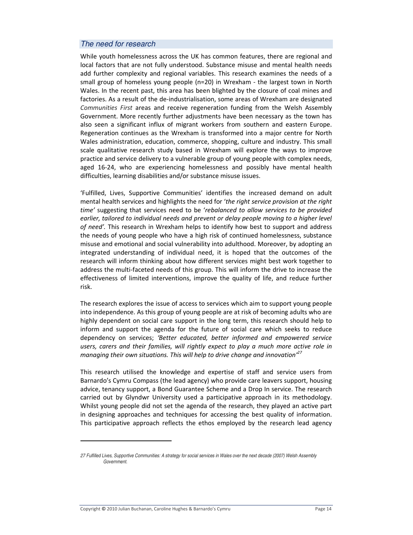### *The need for research*

While youth homelessness across the UK has common features, there are regional and local factors that are not fully understood. Substance misuse and mental health needs add further complexity and regional variables. This research examines the needs of a small group of homeless young people ( $n=20$ ) in Wrexham - the largest town in North Wales. In the recent past, this area has been blighted by the closure of coal mines and factories. As a result of the de-industrialisation, some areas of Wrexham are designated Communities First areas and receive regeneration funding from the Welsh Assembly Government. More recently further adjustments have been necessary as the town has also seen a significant influx of migrant workers from southern and eastern Europe. Regeneration continues as the Wrexham is transformed into a major centre for North Wales administration, education, commerce, shopping, culture and industry. This small scale qualitative research study based in Wrexham will explore the ways to improve practice and service delivery to a vulnerable group of young people with complex needs, aged 16-24, who are experiencing homelessness and possibly have mental health difficulties, learning disabilities and/or substance misuse issues.

'Fulfilled, Lives, Supportive Communities' identifies the increased demand on adult mental health services and highlights the need for 'the right service provision at the right time' suggesting that services need to be 'rebalanced to allow services to be provided earlier, tailored to individual needs and prevent or delay people moving to a higher level of need'. This research in Wrexham helps to identify how best to support and address the needs of young people who have a high risk of continued homelessness, substance misuse and emotional and social vulnerability into adulthood. Moreover, by adopting an integrated understanding of individual need, it is hoped that the outcomes of the research will inform thinking about how different services might best work together to address the multi-faceted needs of this group. This will inform the drive to increase the effectiveness of limited interventions, improve the quality of life, and reduce further risk.

The research explores the issue of access to services which aim to support young people into independence. As this group of young people are at risk of becoming adults who are highly dependent on social care support in the long term, this research should help to inform and support the agenda for the future of social care which seeks to reduce dependency on services; 'Better educated, better informed and empowered service users, carers and their families, will rightly expect to play a much more active role in managing their own situations. This will help to drive change and innovation $^{\prime 27}$ 

This research utilised the knowledge and expertise of staff and service users fron Barnardo's Cymru Compass (the lead agency) who provide care leavers support, housing advice, tenancy support, a Bond Guarantee Scheme and a Drop In service. The research carried out by Glyndwr University used a participative approach in its methodology. Whilst young people did not set the agenda of the research, they played an active part in designing approaches and techniques for accessing the best quality of information. This participative approach reflects the ethos employed by the research lead agency

<sup>27</sup> Fulfilled Lives, Supportive Communities: A strategy for social services in Wales over the next decade (2007) Welsh Assembly *Government.*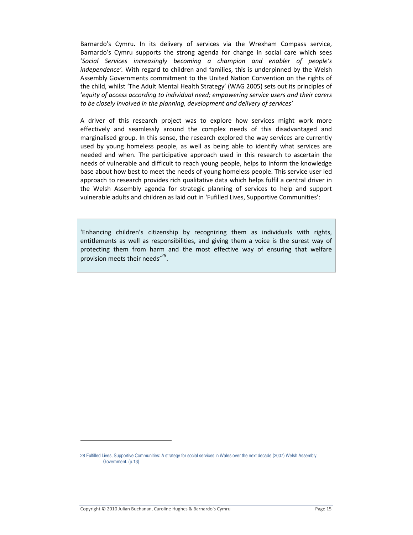Barnardo's Cymru. In its delivery of services via the Wrexham Compass service, Barnardo's Cymru supports the strong agenda for change in social care which sees 'Social Services increasingly becoming a champion and enabler of people's independence'. With regard to children and families, this is underpinned by the Welsh Assembly Governments commitment to the United Nation Convention on the rights of the child, whilst 'The Adult Mental Health Strategy' (WAG 2005) sets out its principles of 'equity of access according to individual need; empowering service users and their carers to be closely involved in the planning, development and delivery of services'

A driver of this research project was to explore how services might work more effectively and seamlessly around the complex needs of this disadvantaged and marginalised group. In this sense, the research explored the way services are currently used by young homeless people, as well as being able to identify what services are needed and when. The participative approach used in this research to ascertain the needs of vulnerable and difficult to reach young people, helps to inform the knowledge base about how best to meet the needs of young homeless people. This service user led approach to research provides rich qualitative data which helps fulfil a central driver in the Welsh Assembly agenda for strategic planning of services to help and support vulnerable adults and children as laid out in 'Fufilled Lives, Supportive Communities':

'Enhancing children's citizenship by recognizing them as individuals with rights, entitlements as well as responsibilities, and giving them a voice is the surest way of protecting them from harm and the most effective way of ensuring that welfare provision meets their needs'<sup>28</sup>.

<sup>28</sup> Fulfilled Lives, Supportive Communities: A strategy for social services in Wales over the next decade (2007) Welsh Assembly Government. (p.13)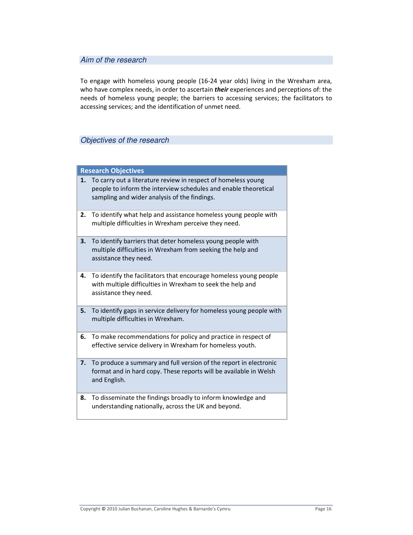### Aim of the research

To engage with homeless young people (16-24 year olds) living in the Wrexham area, who have complex needs, in order to ascertain *their* experiences and perceptions of: the needs of homeless young people; the barriers to accessing services; the facilitators to accessing services; and the identification of unmet need.

### Objectives of the research

### **Research Objectives**

- 1. To carry out a literature review in respect of homeless young people to inform the interview schedules and enable theoretical sampling and wider analysis of the findings.
- 2. To identify what help and assistance homeless young people with multiple difficulties in Wrexham perceive they need.
- 3. To identify barriers that deter homeless young people with multiple difficulties in Wrexham from seeking the help and assistance they need.
- 4. To identify the facilitators that encourage homeless young people with multiple difficulties in Wrexham to seek the help and assistance they need.
- 5. To identify gaps in service delivery for homeless young people with multiple difficulties in Wrexham.
- 6. To make recommendations for policy and practice in respect of effective service delivery in Wrexham for homeless youth.
- 7. To produce a summary and full version of the report in electronic format and in hard copy. These reports will be available in Welsh and English.
- 8. To disseminate the findings broadly to inform knowledge and understanding nationally, across the UK and beyond.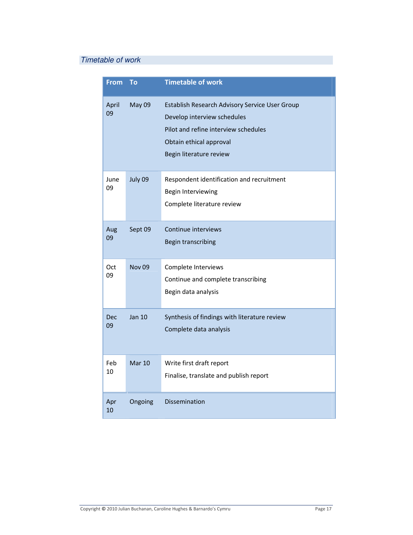### Timetable of work

| <b>From</b>      | Τo                | <b>Timetable of work</b>                                                                                                                                                    |
|------------------|-------------------|-----------------------------------------------------------------------------------------------------------------------------------------------------------------------------|
| April<br>09      | May 09            | Establish Research Advisory Service User Group<br>Develop interview schedules<br>Pilot and refine interview schedules<br>Obtain ethical approval<br>Begin literature review |
| June<br>09       | July 09           | Respondent identification and recruitment<br>Begin Interviewing<br>Complete literature review                                                                               |
| Aug<br>09        | Sept 09           | Continue interviews<br><b>Begin transcribing</b>                                                                                                                            |
| Oct<br>09        | <b>Nov 09</b>     | Complete Interviews<br>Continue and complete transcribing<br>Begin data analysis                                                                                            |
| <b>Dec</b><br>09 | <b>Jan 10</b>     | Synthesis of findings with literature review<br>Complete data analysis                                                                                                      |
| Feb<br>10        | Mar <sub>10</sub> | Write first draft report<br>Finalise, translate and publish report                                                                                                          |
| Apr<br>10        | Ongoing           | Dissemination                                                                                                                                                               |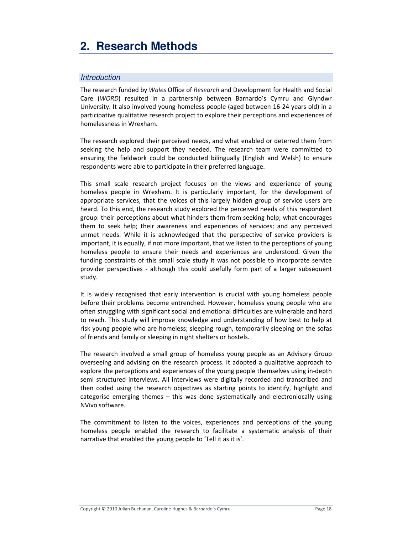### **Introduction**

The research funded by Wales Office of Research and Development for Health and Social Care (WORD) resulted in a partnership between Barnardo's Cymru and Glyndwr University. It also involved young homeless people (aged between 16-24 years old) in a participative qualitative research project to explore their perceptions and experiences of homelessness in Wrexham.

The research explored their perceived needs, and what enabled or deterred them from seeking the help and support they needed. The research team were committed to ensuring the fieldwork could be conducted bilingually (English and Welsh) to ensure respondents were able to participate in their preferred language.

This small scale research project focuses on the views and experience of young homeless people in Wrexham. It is particularly important, for the development of appropriate services, that the voices of this largely hidden group of service users are heard. To this end, the research study explored the perceived needs of this respondent group: their perceptions about what hinders them from seeking help; what encourages them to seek help; their awareness and experiences of services; and any perceived unmet needs. While it is acknowledged that the perspective of service providers is important, it is equally, if not more important, that we listen to the perceptions of young homeless people to ensure their needs and experiences are understood. Given the funding constraints of this small scale study it was not possible to incorporate service provider perspectives - although this could usefully form part of a larger subsequent study.

It is widely recognised that early intervention is crucial with young homeless people before their problems become entrenched. However, homeless young people who are often struggling with significant social and emotional difficulties are vulnerable and hard to reach. This study will improve knowledge and understanding of how best to help at risk young people who are homeless; sleeping rough, temporarily sleeping on the sofas of friends and family or sleeping in night shelters or hostels.

The research involved a small group of homeless young people as an Advisory Group overseeing and advising on the research process. It adopted a qualitative approach to explore the perceptions and experiences of the young people themselves using in-depth semi structured interviews. All interviews were digitally recorded and transcribed and then coded using the research objectives as starting points to identify, highlight and categorise emerging themes - this was done systematically and electroniocally using NVivo software.

The commitment to listen to the voices, experiences and perceptions of the young homeless people enabled the research to facilitate a systematic analysis of their narrative that enabled the young people to 'Tell it as it is'.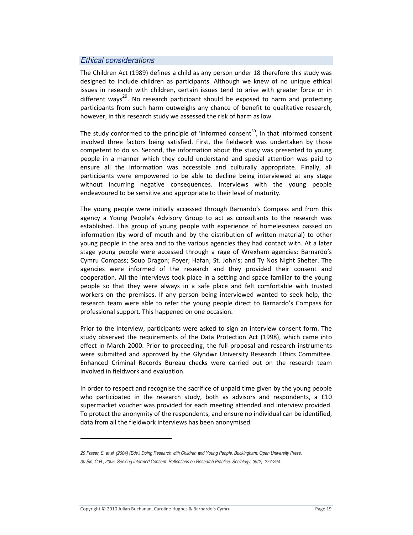### *Ethical considerations*

The Children Act (1989) defines a child as any person under 18 therefore this study was designed to include children as participants. Although we knew of no unique ethical issues in research with children, certain issues tend to arise with greater force or in different ways<sup>29</sup>. No research participant should be exposed to harm and protecting participants from such harm outweighs any chance of benefit to qualitative research, however, in this research study we assessed the risk of harm as low.

The study conformed to the principle of 'informed consent<sup>30</sup>, in that informed consent involved three factors being satisfied. First, the fieldwork was undertaken by those competent to do so. Second, the information about the study was presented to young people in a manner which they could understand and special attention was paid to ensure all the information was accessible and culturally appropriate. Finally, all participants were empowered to be able to decline being interviewed at any stage without incurring negative consequences. Interviews with the young people endeavoured to be sensitive and appropriate to their level of maturity.

The young people were initially accessed through Barnardo's Compass and from this agency a Young People's Advisory Group to act as consultants to the research was established. This group of young people with experience of homelessness passed on information (by word of mouth and by the distribution of written material) to other young people in the area and to the various agencies they had contact with. At a later stage young people were accessed through a rage of Wrexham agencies: Barnardo's Cymru Compass; Soup Dragon; Foyer; Hafan; St. John's; and Ty Nos Night Shelter. The agencies were informed of the research and they provided their consent and cooperation. All the interviews took place in a setting and space familiar to the young people so that they were always in a safe place and felt comfortable with trusted workers on the premises. If any person being interviewed wanted to seek help, the research team were able to refer the young people direct to Barnardo's Compass for professional support. This happened on one occasion.

Prior to the interview, participants were asked to sign an interview consent form. The study observed the requirements of the Data Protection Act (1998), which came into effect in March 2000. Prior to proceeding, the full proposal and research instruments were submitted and approved by the Glyndwr University Research Ethics Committee. Enhanced Criminal Records Bureau checks were carried out on the research tean involved in fieldwork and evaluation.

In order to respect and recognise the sacrifice of unpaid time given by the young people who participated in the research study, both as advisors and respondents, a £10 supermarket voucher was provided for each meeting attended and interview provided. To protect the anonymity of the respondents, and ensure no individual can be identified, data from all the fieldwork interviews has been anonymised.

<sup>29</sup> Fraser, S. et al. (2004) (Eds.) Doing Research with Children and Young People. Buckingham: Open University Press. *30 Sin, C.H., 2005. Seeking Informed Consent: Reflections on Research Practice. Sociology, 39(2), 277-294.*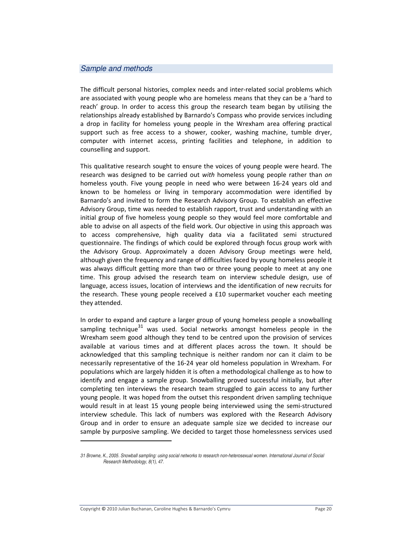### *Sample and methods*

The difficult personal histories, complex needs and inter-related social problems which are associated with young people who are homeless means that they can be a 'hard to reach' group. In order to access this group the research team began by utilising the relationships already established by Barnardo's Compass who provide services including a drop in facility for homeless young people in the Wrexham area offering practical support such as free access to a shower, cooker, washing machine, tumble dryer, computer with internet access, printing facilities and telephone, in addition to counselling and support.

This qualitative research sought to ensure the voices of young people were heard. The research was designed to be carried out with homeless young people rather than on homeless youth. Five young people in need who were between 16-24 years old and known to be homeless or living in temporary accommodation were identified by Barnardo's and invited to form the Research Advisory Group. To establish an effective Advisory Group, time was needed to establish rapport, trust and understanding with an initial group of five homeless young people so they would feel more comfortable and able to advise on all aspects of the field work. Our objective in using this approach was to access comprehensive, high quality data via a facilitated semi structured questionnaire. The findings of which could be explored through focus group work with the Advisory Group. Approximately a dozen Advisory Group meetings were held, although given the frequency and range of difficulties faced by young homeless people it was always difficult getting more than two or three young people to meet at any one time. This group advised the research team on interview schedule design, use of language, access issues, location of interviews and the identification of new recruits for the research. These young people received a £10 supermarket voucher each meeting they attended.

In order to expand and capture a larger group of young homeless people a snowballing sampling technique<sup>31</sup> was used. Social networks amongst homeless people in the Wrexham seem good although they tend to be centred upon the provision of services available at various times and at different places across the town. It should be acknowledged that this sampling technique is neither random nor can it claim to be necessarily representative of the 16-24 year old homeless population in Wrexham. For populations which are largely hidden it is often a methodological challenge as to how to identify and engage a sample group. Snowballing proved successful initially, but after completing ten interviews the research team struggled to gain access to any further young people. It was hoped from the outset this respondent driven sampling technique would result in at least 15 young people being interviewed using the semi-structured interview schedule. This lack of numbers was explored with the Research Advisory Group and in order to ensure an adequate sample size we decided to increase our sample by purposive sampling. We decided to target those homelessness services used

<sup>31</sup> Browne, K., 2005. Snowball sampling: using social networks to research non-heterosexual women. International Journal of Social *Research Methodology, 8(1), 47.*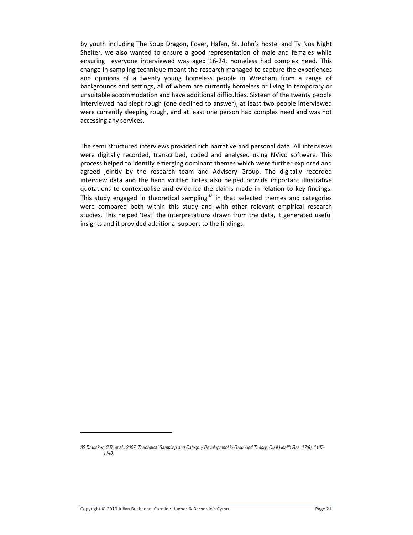by youth including The Soup Dragon, Foyer, Hafan, St. John's hostel and Ty Nos Night Shelter, we also wanted to ensure a good representation of male and females while ensuring everyone interviewed was aged 16-24, homeless had complex need. This change in sampling technique meant the research managed to capture the experiences and opinions of a twenty young homeless people in Wrexham from a range of backgrounds and settings, all of whom are currently homeless or living in temporary or unsuitable accommodation and have additional difficulties. Sixteen of the twenty people interviewed had slept rough (one declined to answer), at least two people interviewed were currently sleeping rough, and at least one person had complex need and was not accessing any services.

The semi structured interviews provided rich narrative and personal data. All interviews were digitally recorded, transcribed, coded and analysed using NVivo software. This process helped to identify emerging dominant themes which were further explored and agreed jointly by the research team and Advisory Group. The digitally recorded interview data and the hand written notes also helped provide important illustrative quotations to contextualise and evidence the claims made in relation to key findings. This study engaged in theoretical sampling<sup>32</sup> in that selected themes and categories were compared both within this study and with other relevant empirical research studies. This helped 'test' the interpretations drawn from the data, it generated useful insights and it provided additional support to the findings.

<sup>32</sup> Draucker, C.B. et al., 2007. Theoretical Sampling and Category Development in Grounded Theory. Qual Health Res, 17(8), 1137-1148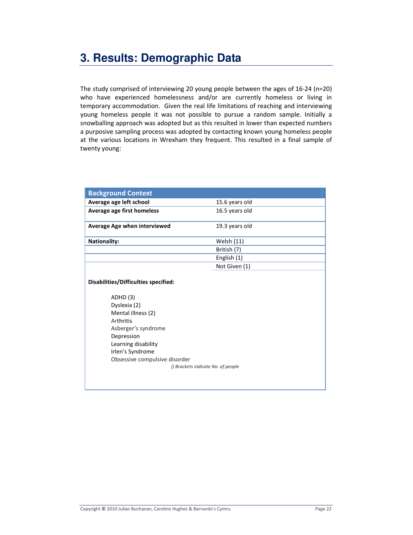# 3. Results: Demographic Data

The study comprised of interviewing 20 young people between the ages of 16-24 (n=20) who have experienced homelessness and/or are currently homeless or living in temporary accommodation. Given the real life limitations of reaching and interviewing young homeless people it was not possible to pursue a random sample. Initially a snowballing approach was adopted but as this resulted in lower than expected numbers a purposive sampling process was adopted by contacting known young homeless people at the various locations in Wrexham they frequent. This resulted in a final sample of twenty young:

| <b>Background Context</b>                                                                                                                                                                                                                                 |                |
|-----------------------------------------------------------------------------------------------------------------------------------------------------------------------------------------------------------------------------------------------------------|----------------|
| Average age left school                                                                                                                                                                                                                                   | 15.6 years old |
| Average age first homeless                                                                                                                                                                                                                                | 16.5 years old |
| Average Age when interviewed                                                                                                                                                                                                                              | 19.3 years old |
| <b>Nationality:</b>                                                                                                                                                                                                                                       | Welsh (11)     |
|                                                                                                                                                                                                                                                           | British (7)    |
|                                                                                                                                                                                                                                                           | English (1)    |
|                                                                                                                                                                                                                                                           | Not Given (1)  |
| Disabilities/Difficulties specified:<br>ADHD(3)<br>Dyslexia (2)<br>Mental illness (2)<br>Arthritis<br>Asberger's syndrome<br>Depression<br>Learning disability<br>Irlen's Syndrome<br>Obsessive compulsive disorder<br>() Brackets indicate No. of people |                |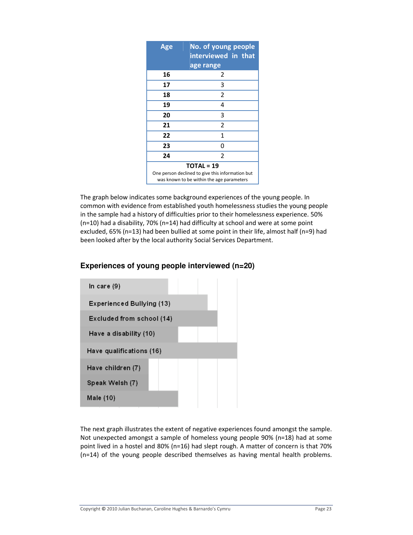| Age                                                                                           | No. of young people<br>interviewed in that |  |  |
|-----------------------------------------------------------------------------------------------|--------------------------------------------|--|--|
|                                                                                               | age range                                  |  |  |
| 16                                                                                            | 2                                          |  |  |
| 17                                                                                            | 3                                          |  |  |
| 18                                                                                            | 2                                          |  |  |
| 19                                                                                            | 4                                          |  |  |
| 20                                                                                            | 3                                          |  |  |
| 21                                                                                            | 2                                          |  |  |
| 22                                                                                            | 1                                          |  |  |
| 23                                                                                            | 0                                          |  |  |
| 24                                                                                            | $\overline{2}$                             |  |  |
| $TOTAL = 19$                                                                                  |                                            |  |  |
| One person declined to give this information but<br>was known to be within the age parameters |                                            |  |  |

The graph below indicates some background experiences of the young people. In common with evidence from established youth homelessness studies the young people in the sample had a history of difficulties prior to their homelessness experience. 50% (n=10) had a disability, 70% (n=14) had difficulty at school and were at some point excluded, 65% (n=13) had been bullied at some point in their life, almost half (n=9) had been looked after by the local authority Social Services Department.

### Experiences of young people interviewed (n=20)



The next graph illustrates the extent of negative experiences found amongst the sample. Not unexpected amongst a sample of homeless young people 90% (n=18) had at some point lived in a hostel and 80% (n=16) had slept rough. A matter of concern is that 70%  $(n=14)$  of the young people described themselves as having mental health problems.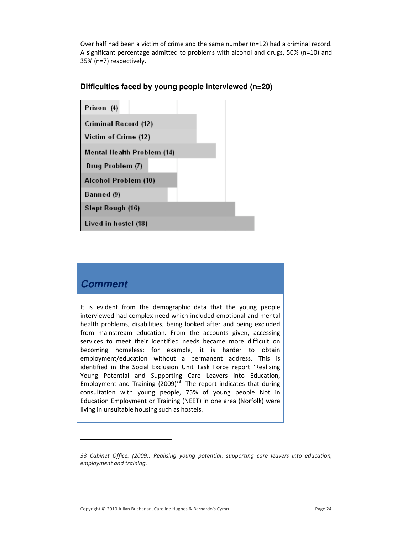Over half had been a victim of crime and the same number (n=12) had a criminal record. A significant percentage admitted to problems with alcohol and drugs, 50% (n=10) and 35% (n=7) respectively.



### Difficulties faced by young people interviewed (n=20)

### **Comment**

It is evident from the demographic data that the young people interviewed had complex need which included emotional and mental health problems, disabilities, being looked after and being excluded from mainstream education. From the accounts given, accessing services to meet their identified needs became more difficult on becoming homeless; for example, it is harder to obtain employment/education without a permanent address. This is identified in the Social Exclusion Unit Task Force report 'Realising Young Potential and Supporting Care Leavers into Education, Employment and Training  $(2009)^{33}$ . The report indicates that during consultation with young people, 75% of young people Not in Education Employment or Training (NEET) in one area (Norfolk) were living in unsuitable housing such as hostels.

<sup>33</sup> Cabinet Office. (2009). Realising young potential: supporting care leavers into education, employment and training.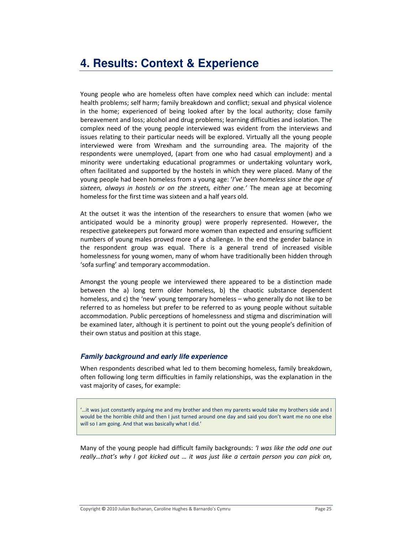### **4. Results: Context & Experience**

Young people who are homeless often have complex need which can include: mental health problems; self harm; family breakdown and conflict; sexual and physical violence in the home; experienced of being looked after by the local authority; close family bereavement and loss; alcohol and drug problems; learning difficulties and isolation. The complex need of the young people interviewed was evident from the interviews and issues relating to their particular needs will be explored. Virtually all the young people interviewed were from Wrexham and the surrounding area. The majority of the respondents were unemployed, (apart from one who had casual employment) and a minority were undertaking educational programmes or undertaking voluntary work, often facilitated and supported by the hostels in which they were placed. Many of the young people had been homeless from a young age: 'I've been homeless since the age of sixteen, always in hostels or on the streets, either one.' The mean age at becoming homeless for the first time was sixteen and a half years old.

At the outset it was the intention of the researchers to ensure that women (who we anticipated would be a minority group) were properly represented. However, the respective gatekeepers put forward more women than expected and ensuring sufficient numbers of young males proved more of a challenge. In the end the gender balance in the respondent group was equal. There is a general trend of increased visible homelessness for young women, many of whom have traditionally been hidden through 'sofa surfing' and temporary accommodation.

Amongst the young people we interviewed there appeared to be a distinction made between the a) long term older homeless, b) the chaotic substance dependent homeless, and c) the 'new' young temporary homeless - who generally do not like to be referred to as homeless but prefer to be referred to as young people without suitable accommodation. Public perceptions of homelessness and stigma and discrimination will be examined later, although it is pertinent to point out the young people's definition of their own status and position at this stage.

### *Family background and early life experience*

When respondents described what led to them becoming homeless, family breakdown, often following long term difficulties in family relationships, was the explanation in the vast majority of cases, for example:

"...it was just constantly arguing me and my brother and then my parents would take my brothers side and I would be the horrible child and then I just turned around one day and said you don't want me no one else will so I am going. And that was basically what I did.'

Many of the young people had difficult family backgrounds: 'I was like the odd one out really...that's why I got kicked out ... it was just like a certain person you can pick on,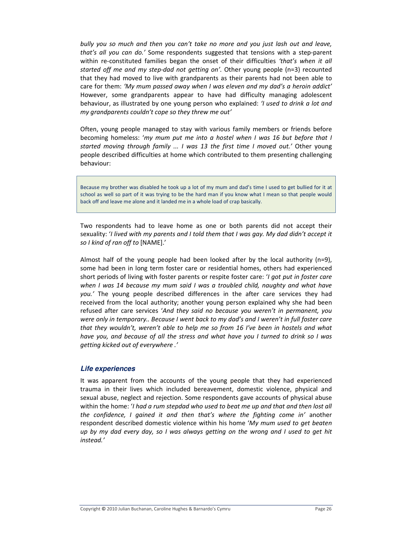bully you so much and then you can't take no more and you just lash out and leave, that's all you can do.' Some respondents suggested that tensions with a step-parent within re-constituted families began the onset of their difficulties 'that's when it all started off me and my step-dad not getting on'. Other young people (n=3) recounted that they had moved to live with grandparents as their parents had not been able to care for them: 'My mum passed away when I was eleven and my dad's a heroin addict' However, some grandparents appear to have had difficulty managing adolescent behaviour, as illustrated by one young person who explained: 'I used to drink a lot and my grandparents couldn't cope so they threw me out'

Often, young people managed to stay with various family members or friends before becoming homeless: 'my mum put me into a hostel when I was 16 but before that I started moving through family ... I was 13 the first time I moved out.' Other young people described difficulties at home which contributed to them presenting challenging behaviour:

Because my brother was disabled he took up a lot of my mum and dad's time I used to get bullied for it at school as well so part of it was trying to be the hard man if you know what I mean so that people would back off and leave me alone and it landed me in a whole load of crap basically.

Two respondents had to leave home as one or both parents did not accept their sexuality: 'I lived with my parents and I told them that I was gay. My dad didn't accept it so I kind of ran off to [NAME].'

Almost half of the young people had been looked after by the local authority ( $n=9$ ), some had been in long term foster care or residential homes, others had experienced short periods of living with foster parents or respite foster care: 'I got put in foster care when I was 14 because my mum said I was a troubled child, naughty and what have you.' The young people described differences in the after care services they had received from the local authority; another young person explained why she had been refused after care services 'And they said no because you weren't in permanent, you were only in temporary.. Because I went back to my dad's and I weren't in full foster care that they wouldn't, weren't able to help me so from 16 I've been in hostels and what have you, and because of all the stress and what have you I turned to drink so I was getting kicked out of everywhere.'

### **Life experiences**

It was apparent from the accounts of the young people that they had experienced trauma in their lives which included bereavement, domestic violence, physical and sexual abuse, neglect and rejection. Some respondents gave accounts of physical abuse within the home: 'I had a rum stepdad who used to beat me up and that and then lost all the confidence, I gained it and then that's where the fighting come in' another respondent described domestic violence within his home 'My mum used to get beaten up by my dad every day, so I was always getting on the wrong and I used to get hit instead.'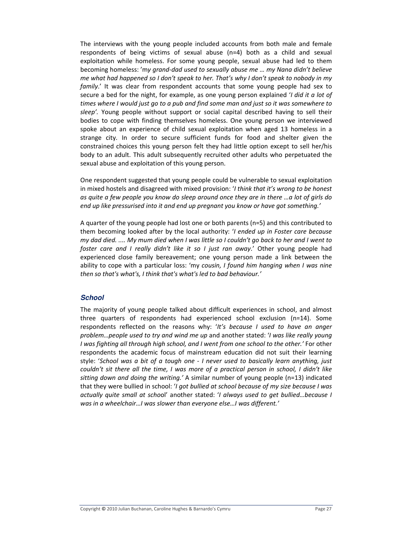The interviews with the young people included accounts from both male and female respondents of being victims of sexual abuse (n=4) both as a child and sexual exploitation while homeless. For some young people, sexual abuse had led to them becoming homeless: 'my grand-dad used to sexually abuse me ... my Nana didn't believe me what had happened so I don't speak to her. That's why I don't speak to nobody in my family.' It was clear from respondent accounts that some young people had sex to secure a bed for the night, for example, as one young person explained 'I did it a lot of times where I would just go to a pub and find some man and just so it was somewhere to sleep'. Young people without support or social capital described having to sell their bodies to cope with finding themselves homeless. One young person we interviewed spoke about an experience of child sexual exploitation when aged 13 homeless in a strange city. In order to secure sufficient funds for food and shelter given the constrained choices this young person felt they had little option except to sell her/his body to an adult. This adult subsequently recruited other adults who perpetuated the sexual abuse and exploitation of this young person.

One respondent suggested that young people could be vulnerable to sexual exploitation in mixed hostels and disagreed with mixed provision: 'I think that it's wrong to be honest as quite a few people you know do sleep around once they are in there ...a lot of girls do end up like pressurised into it and end up pregnant you know or have got something.'

A quarter of the young people had lost one or both parents (n=5) and this contributed to them becoming looked after by the local authority: '*I ended up in Foster care because* my dad died. .... My mum died when I was little so I couldn't go back to her and I went to foster care and I really didn't like it so I just ran away.' Other young people had experienced close family bereavement; one young person made a link between the ability to cope with a particular loss: 'my cousin, I found him hanging when I was nine then so that's what's, I think that's what's led to bad behaviour.'

### **School**

The majority of young people talked about difficult experiences in school, and almost three quarters of respondents had experienced school exclusion (n=14). Some respondents reflected on the reasons why: 'It's because I used to have an anger problem...people used to try and wind me up and another stated: 'I was like really young I was fighting all through high school, and I went from one school to the other.' For other respondents the academic focus of mainstream education did not suit their learning style: 'School was a bit of a tough one - I never used to basically learn anything, just couldn't sit there all the time, I was more of a practical person in school, I didn't like sitting down and doing the writing.' A similar number of young people ( $n=13$ ) indicated that they were bullied in school: 'I got bullied at school because of my size because I was actually quite small at school' another stated: 'I always used to get bullied...because I was in a wheelchair...I was slower than everyone else...I was different.'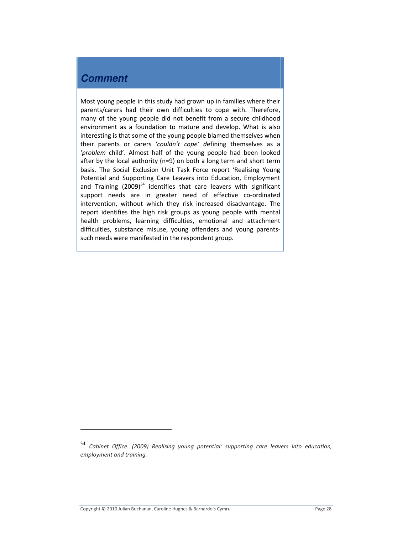### **Comment**

Most young people in this study had grown up in families where their parents/carers had their own difficulties to cope with. Therefore, many of the young people did not benefit from a secure childhood environment as a foundation to mature and develop. What is also interesting is that some of the young people blamed themselves when their parents or carers 'couldn't cope' defining themselves as a 'problem child'. Almost half of the young people had been looked after by the local authority (n=9) on both a long term and short term basis. The Social Exclusion Unit Task Force report 'Realising Young Potential and Supporting Care Leavers into Education, Employment and Training  $(2009)^{34}$  identifies that care leavers with significant support needs are in greater need of effective co-ordinated intervention, without which they risk increased disadvantage. The report identifies the high risk groups as young people with mental health problems, learning difficulties, emotional and attachment difficulties, substance misuse, young offenders and young parentssuch needs were manifested in the respondent group.

Cabinet Office. (2009) Realising young potential: supporting care leavers into education, employment and training.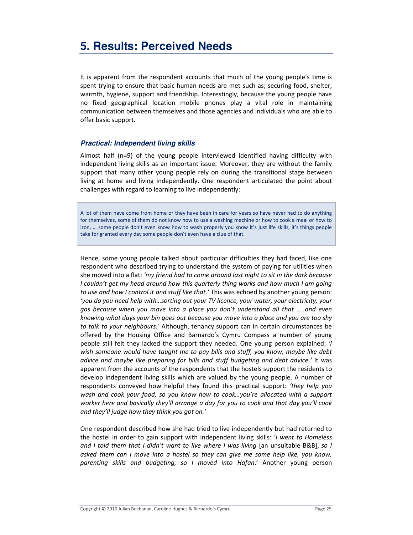It is apparent from the respondent accounts that much of the young people's time is spent trying to ensure that basic human needs are met such as; securing food, shelter, warmth, hygiene, support and friendship. Interestingly, because the young people have no fixed geographical location mobile phones play a vital role in maintaining communication between themselves and those agencies and individuals who are able to offer basic support.

### **Practical: Independent living skills**

Almost half (n=9) of the young people interviewed identified having difficulty with independent living skills as an important issue. Moreover, they are without the family support that many other young people rely on during the transitional stage between living at home and living independently. One respondent articulated the point about challenges with regard to learning to live independently:

A lot of them have come from home or they have been in care for years so have never had to do anything for themselves, some of them do not know how to use a washing machine or how to cook a meal or how to iron, ... some people don't even know how to wash properly you know it's just life skills, it's things people take for granted every day some people don't even have a clue of that.

Hence, some young people talked about particular difficulties they had faced, like one respondent who described trying to understand the system of paying for utilities when she moved into a flat: 'my friend had to come around last night to sit in the dark because I couldn't get my head around how this quarterly thing works and how much I am going to use and how I control it and stuff like that.' This was echoed by another young person: 'you do you need help with...sorting out your TV licence, your water, your electricity, your gas because when you move into a place you don't understand all that .....and even knowing what days your bin goes out because you move into a place and you are too shy to talk to your neighbours.' Although, tenancy support can in certain circumstances be offered by the Housing Office and Barnardo's Cymru Compass a number of young people still felt they lacked the support they needed. One young person explained: ' wish someone would have taught me to pay bills and stuff, you know, maybe like debt advice and maybe like preparing for bills and stuff budgeting and debt advice.' It was apparent from the accounts of the respondents that the hostels support the residents to develop independent living skills which are valued by the young people. A number of respondents conveyed how helpful they found this practical support: 'they help you wash and cook your food, so you know how to cook...you're allocated with a support worker here and basically they'll arrange a day for you to cook and that day you'll cook and they'll judge how they think you got on.'

One respondent described how she had tried to live independently but had returned to the hostel in order to gain support with independent living skills: '*I went to Homeless* and I told them that I didn't want to live where I was living [an unsuitable B&B], so I asked them can I move into a hostel so they can give me some help like, you know, parenting skills and budgeting, so I moved into Hafan.' Another young person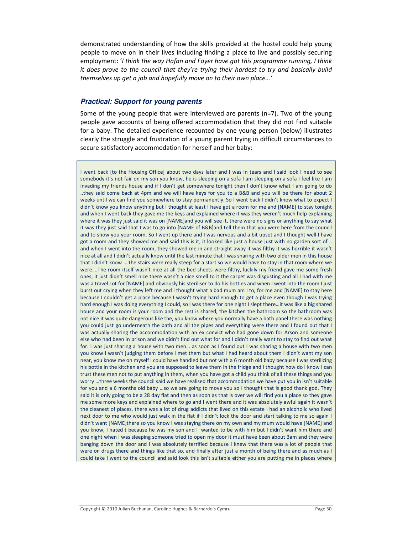demonstrated understanding of how the skills provided at the hostel could help young people to move on in their lives including finding a place to live and possibly securing employment: 'I think the way Hafan and Foyer have got this programme running, I think it does prove to the council that they're trying their hardest to try and basically build themselves up get a job and hopefully move on to their own place...'

### **Practical: Support for young parents**

Some of the young people that were interviewed are parents ( $n=7$ ). Two of the young people gave accounts of being offered accommodation that they did not find suitable for a baby. The detailed experience recounted by one young person (below) illustrates clearly the struggle and frustration of a young parent trying in difficult circumstances to secure satisfactory accommodation for herself and her baby:

I went back [to the Housing Office] about two days later and I was in tears and I said look I need to see somebody it's not fair on my son you know, he is sleeping on a sofa I am sleeping on a sofa I feel like I am invading my friends house and if I don't get somewhere tonight then I don't know what I am going to do ..they said come back at 4pm and we will have keys for you to a B&B and you will be there for about 2 weeks until we can find you somewhere to stay permanently. So I went back I didn't know what to expect I didn't know you know anything but I thought at least I have got a room for me and [NAME] to stay tonight and when I went back they gave me the keys and explained where it was they weren't much help explaining where it was they just said it was on [NAME]and you will see it, there were no signs or anything to say what it was they just said that I was to go into [NAME of B&B]and tell them that you were here from the council and to show you your room. So I went up there and I was nervous and a bit upset and I thought well I have got a room and they showed me and said this is it, it looked like just a house just with no garden sort of .. and when I went into the room, they showed me in and straight away it was filthy it was horrible it wasn't nice at all and I didn't actually know until the last minute that I was sharing with two older men in this house that I didn't know ... the stairs were really steep for a start so we would have to stay in that room where we were....The room itself wasn't nice at all the bed sheets were filthy, luckily my friend gave me some fresh ones, it just didn't smell nice there wasn't a nice smell to it the carpet was disgusting and all I had with me was a travel cot for [NAME] and obviously his steriliser to do his bottles and when I went into the room I just burst out crying when they left me and I thought what a bad mum am I to, for me and [NAME] to stay here because I couldn't get a place because I wasn't trying hard enough to get a place even though I was trying hard enough I was doing everything I could, so I was there for one night I slept there...it was like a big shared house and your room is your room and the rest is shared, the kitchen the bathroom so the bathroom was not nice it was quite dangerous like the, you know where you normally have a bath panel there was nothing you could just go underneath the bath and all the pipes and everything were there and I found out that I was actually sharing the accommodation with an ex convict who had gone down for Arson and someone else who had been in prison and we didn't find out what for and I didn't really want to stay to find out what for. I was just sharing a house with two men... as soon as I found out I was sharing a house with two men you know I wasn't judging them before I met them but what I had heard about them I didn't want my son near, you know me on myself I could have handled but not with a 6 month old baby because I was sterilizing his bottle in the kitchen and you are supposed to leave them in the fridge and I thought how do I know I can trust these men not to put anything in them, when you have got a child you think of all these things and you worry ...three weeks the council said we have realised that accommodation we have put you in isn't suitable for you and a 6 months old baby ...so we are going to move you so I thought that is good thank god. They said it is only going to be a 28 day flat and then as soon as that is over we will find you a place so they gave me some more keys and explained where to go and I went there and it was absolutely awful again it wasn't the cleanest of places, there was a lot of drug addicts that lived on this estate I had an alcoholic who lived next door to me who would just walk in the flat if I didn't lock the door and start talking to me so again I didn't want [NAME]there so you know I was staying there on my own and my mum would have [NAME] and you know, I hated t because he was my son and I wanted to be with him but I didn't want him there and one night when I was sleeping someone tried to open my door it must have been about 3am and they were banging down the door and I was absolutely terrified because I knew that there was a lot of people that were on drugs there and things like that so, and finally after just a month of being there and as much as I could take I went to the council and said look this isn't suitable either you are putting me in places where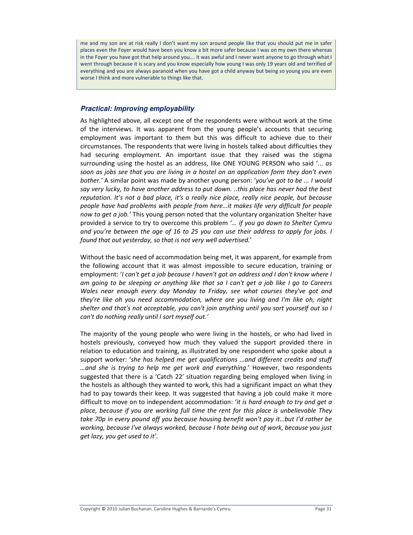me and my son are at risk really I don't want my son around people like that you should put me in safer places even the Foyer would have been you know a bit more safer because I was on my own there whereas in the Foyer you have got that help around you.... it was awful and I never want anyone to go through what I went through because it is scary and you know especially how young I was only 19 years old and terrified of everything and you are always paranoid when you have got a child anyway but being so young you are even worse I think and more vulnerable to things like that.

### **Practical: Improving employability**

As highlighted above, all except one of the respondents were without work at the time of the interviews. It was apparent from the young people's accounts that securing employment was important to them but this was difficult to achieve due to their circumstances. The respondents that were living in hostels talked about difficulties they had securing employment. An important issue that they raised was the stigma surrounding using the hostel as an address, like ONE YOUNG PERSON who said '... as soon as jobs see that you are living in a hostel on an application form they don't even bother.' A similar point was made by another young person: 'you've got to be ... I would say very lucky, to have another address to put down. ..this place has never had the best reputation. It's not a bad place, it's a really nice place, really nice people, but because people have had problems with people from here...it makes life very difficult for people now to get a job.' This young person noted that the voluntary organization Shelter have provided a service to try to overcome this problem '... if you go down to Shelter Cymru and you're between the age of 16 to 25 you can use their address to apply for jobs. I found that out yesterday, so that is not very well advertised.'

Without the basic need of accommodation being met, it was apparent, for example from the following account that it was almost impossible to secure education, training or employment: 'I can't get a job because I haven't got an address and I don't know where I am going to be sleeping or anything like that so I can't get a job like I go to Careers Wales near enough every day Monday to Friday, see what courses they've got and they're like oh you need accommodation, where are you living and I'm like oh, night shelter and that's not acceptable, you can't join anything until you sort yourself out so I can't do nothing really until I sort myself out.'

The majority of the young people who were living in the hostels, or who had lived in hostels previously, conveyed how much they valued the support provided there in relation to education and training, as illustrated by one respondent who spoke about a support worker: 'she has helped me get qualifications ... and different credits and stuff ... and she is trying to help me get work and everything.' However, two respondents suggested that there is a 'Catch 22' situation regarding being employed when living in the hostels as although they wanted to work, this had a significant impact on what they had to pay towards their keep. It was suggested that having a job could make it more difficult to move on to independent accommodation: 'it is hard enough to try and get a place, because if you are working full time the rent for this place is unbelievable They take 70p in every pound off you because housing benefit won't pay it...but I'd rather be working, because I've always worked, because I hate being out of work, because you just get lazy, you get used to it'.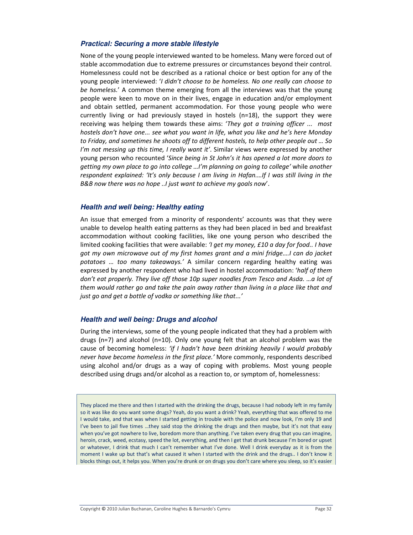#### **Practical: Securing a more stable lifestyle**

None of the young people interviewed wanted to be homeless. Many were forced out of stable accommodation due to extreme pressures or circumstances beyond their control. Homelessness could not be described as a rational choice or best option for any of the young people interviewed: 'I didn't choose to be homeless. No one really can choose to be homeless.' A common theme emerging from all the interviews was that the young people were keen to move on in their lives, engage in education and/or employment and obtain settled, permanent accommodation. For those young people who were currently living or had previously stayed in hostels  $(n=18)$ , the support they were receiving was helping them towards these aims: 'They got a training officer ... most hostels don't have one... see what you want in life, what you like and he's here Monday to Friday, and sometimes he shoots off to different hostels, to help other people out ... So I'm not messing up this time, I really want it'. Similar views were expressed by another young person who recounted 'Since being in St John's it has opened a lot more doors to getting my own place to go into college ...I'm planning on going to college' while another respondent explained: 'It's only because I am living in Hafan....If I was still living in the B&B now there was no hope ...I just want to achieve my goals now'.

### Health and well being: Healthy eating

An issue that emerged from a minority of respondents' accounts was that they were unable to develop health eating patterns as they had been placed in bed and breakfast accommodation without cooking facilities, like one young person who described the limited cooking facilities that were available: 'I get my money, £10 a day for food.. I have got my own microwave out of my first homes grant and a mini fridge....I can do jacket potatoes ... too many takeaways.' A similar concern regarding healthy eating was expressed by another respondent who had lived in hostel accommodation: 'half of them don't eat properly. They live off those 10p super noodles from Tesco and Asda. ...a lot of them would rather go and take the pain away rather than living in a place like that and just go and get a bottle of vodka or something like that...'

#### Health and well being: Drugs and alcohol

During the interviews, some of the young people indicated that they had a problem with drugs ( $n=7$ ) and alcohol ( $n=10$ ). Only one young felt that an alcohol problem was the cause of becoming homeless: 'if I hadn't have been drinking heavily I would probably never have become homeless in the first place.' More commonly, respondents described using alcohol and/or drugs as a way of coping with problems. Most young people described using drugs and/or alcohol as a reaction to, or symptom of, homelessness:

They placed me there and then I started with the drinking the drugs, because I had nobody left in my family so it was like do you want some drugs? Yeah, do you want a drink? Yeah, everything that was offered to me I would take, and that was when I started getting in trouble with the police and now look, I'm only 19 and I've been to jail five times ...they said stop the drinking the drugs and then maybe, but it's not that easy when you've got nowhere to live, boredom more than anything. I've taken every drug that you can imagine, heroin, crack, weed, ecstasy, speed the lot, everything, and then I get that drunk because I'm bored or upset or whatever, I drink that much I can't remember what I've done. Well I drink everyday as it is from the moment I wake up but that's what caused it when I started with the drink and the drugs.. I don't know it blocks things out, it helps you. When you're drunk or on drugs you don't care where you sleep, so it's easier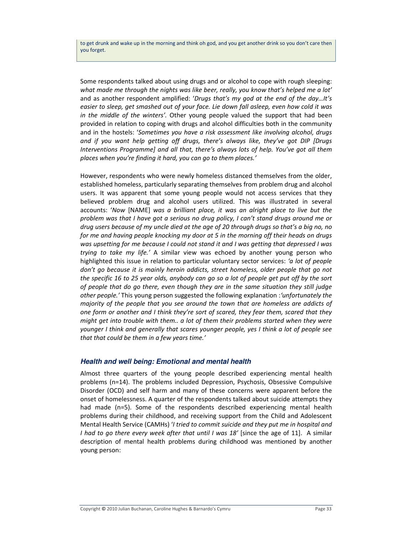to get drunk and wake up in the morning and think oh god, and you get another drink so you don't care then you forget.

Some respondents talked about using drugs and or alcohol to cope with rough sleeping: what made me through the nights was like beer, really, you know that's helped me a lot' and as another respondent amplified: 'Drugs that's my god at the end of the day...lt's easier to sleep, get smashed out of your face. Lie down fall asleep, even how cold it was in the middle of the winters'. Other young people valued the support that had been provided in relation to coping with drugs and alcohol difficulties both in the community and in the hostels: 'Sometimes you have a risk assessment like involving alcohol, drugs and if you want help getting off drugs, there's always like, they've got DIP [Drugs Interventions Programme] and all that, there's always lots of help. You've got all them places when you're finding it hard, you can go to them places.'

However, respondents who were newly homeless distanced themselves from the older, established homeless, particularly separating themselves from problem drug and alcohol users. It was apparent that some young people would not access services that they believed problem drug and alcohol users utilized. This was illustrated in several accounts: 'Now [NAME] was a brilliant place, it was an alright place to live but the problem was that I have got a serious no drug policy, I can't stand drugs around me or drug users because of my uncle died at the age of 20 through drugs so that's a big no, no for me and having people knocking my door at 5 in the morning off their heads on drugs was upsetting for me because I could not stand it and I was getting that depressed I was trying to take my life.' A similar view was echoed by another young person who highlighted this issue in relation to particular voluntary sector services: 'a lot of people don't go because it is mainly heroin addicts, street homeless, older people that go not the specific 16 to 25 year olds, anybody can go so a lot of people get put off by the sort of people that do go there, even though they are in the same situation they still judge other people.' This young person suggested the following explanation : 'unfortunately the majority of the people that you see around the town that are homeless are addicts of one form or another and I think they're sort of scared, they fear them, scared that they might get into trouble with them.. g lot of them their problems started when they were younger I think and generally that scares younger people, yes I think a lot of people see that that could be them in a few years time.'

### Health and well being: Emotional and mental health

Almost three quarters of the young people described experiencing mental health problems (n=14). The problems included Depression, Psychosis, Obsessive Compulsive Disorder (OCD) and self harm and many of these concerns were apparent before the onset of homelessness. A quarter of the respondents talked about suicide attempts they had made (n=5). Some of the respondents described experiencing mental health problems during their childhood, and receiving support from the Child and Adolescent Mental Health Service (CAMHs) 'I tried to commit suicide and they put me in hospital and I had to go there every week after that until I was 18' [since the age of 11]. A similar description of mental health problems during childhood was mentioned by another young person: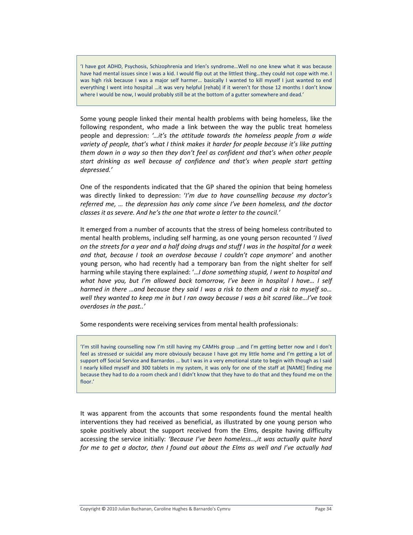'I have got ADHD, Psychosis, Schizophrenia and Irlen's syndrome...Well no one knew what it was because have had mental issues since I was a kid. I would flip out at the littlest thing...they could not cope with me. I was high risk because I was a major self harmer... basically I wanted to kill myself I just wanted to end everything I went into hospital ...it was very helpful [rehab] if it weren't for those 12 months I don't know where I would be now, I would probably still be at the bottom of a gutter somewhere and dead.'

Some young people linked their mental health problems with being homeless, like the following respondent, who made a link between the way the public treat homeless people and depression: '...it's the attitude towards the homeless people from a wide variety of people, that's what I think makes it harder for people because it's like putting them down in a way so then they don't feel as confident and that's when other people start drinking as well because of confidence and that's when people start getting depressed.'

One of the respondents indicated that the GP shared the opinion that being homeless was directly linked to depression: 'I'm due to have counselling because my doctor's referred me, ... the depression has only come since I've been homeless, and the doctor classes it as severe. And he's the one that wrote a letter to the council.'

It emerged from a number of accounts that the stress of being homeless contributed to mental health problems, including self harming, as one young person recounted 'I lived on the streets for a year and a half doing drugs and stuff I was in the hospital for a week and that, because I took an overdose because I couldn't cope anymore' and another young person, who had recently had a temporary ban from the night shelter for self harming while staying there explained: '... I done something stupid, I went to hospital and what have you, but I'm allowed back tomorrow, I've been in hospital I have... I self harmed in there ... and because they said I was a risk to them and a risk to myself so... well they wanted to keep me in but I ran away because I was a bit scared like...I've took overdoses in the past..'

Some respondents were receiving services from mental health professionals:

'i'm still having counselling now I'm still having my CAMHs group ...and I'm getting better now and I don't feel as stressed or suicidal any more obviously because I have got my little home and I'm getting a lot of support off Social Service and Barnardos ... but I was in a very emotional state to begin with though as I said I nearly killed myself and 300 tablets in my system, it was only for one of the staff at [NAME] finding me because they had to do a room check and I didn't know that they have to do that and they found me on the floor.'

It was apparent from the accounts that some respondents found the mental health interventions they had received as beneficial, as illustrated by one young person who spoke positively about the support received from the Elms, despite having difficulty accessing the service initially: 'Because I've been homeless..., it was actually quite hard for me to get a doctor, then I found out about the Elms as well and I've actually had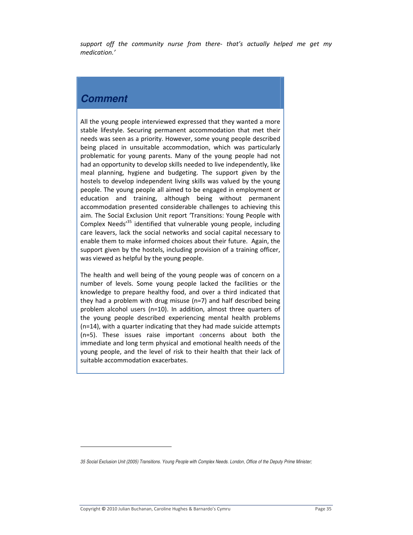support off the community nurse from there- that's actually helped me get my medication.'

### *Comment*

All the young people interviewed expressed that they wanted a more stable lifestyle. Securing permanent accommodation that met their needs was seen as a priority. However, some young people described being placed in unsuitable accommodation, which was particularly problematic for young parents. Many of the young people had not had an opportunity to develop skills needed to live independently, like meal planning, hygiene and budgeting. The support given by the hostels to develop independent living skills was valued by the young people. The young people all aimed to be engaged in employment or education and training, although being without permanent accommodation presented considerable challenges to achieving this aim. The Social Exclusion Unit report 'Transitions: Young People with Complex Needs'<sup>35</sup> identified that vulnerable young people, including care leavers, lack the social networks and social capital necessary to enable them to make informed choices about their future. Again, the support given by the hostels, including provision of a training officer, was viewed as helpful by the young people.

The health and well being of the young people was of concern on a number of levels. Some young people lacked the facilities or the knowledge to prepare healthy food, and over a third indicated that they had a problem with drug misuse ( $n=7$ ) and half described being problem alcohol users (n=10). In addition, almost three quarters of the young people described experiencing mental health problems (n=14), with a quarter indicating that they had made suicide attempts (n=5). These issues raise important concerns about both the immediate and long term physical and emotional health needs of the young people, and the level of risk to their health that their lack of suitable accommodation exacerbates.

<sup>35</sup> Social Exclusion Unit (2005) Transitions. Young People with Complex Needs. London, Office of the Deputy Prime Minister;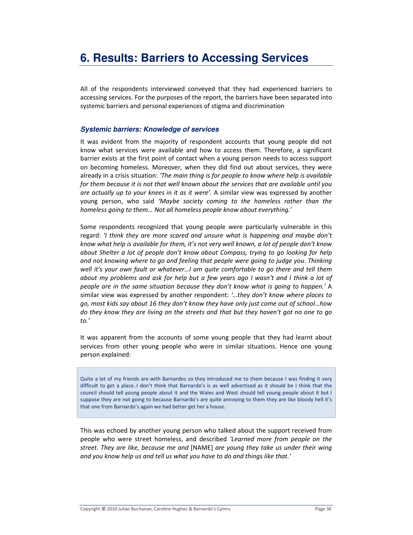## **6. Results: Barriers to Accessing Services**

All of the respondents interviewed conveyed that they had experienced barriers to accessing services. For the purposes of the report, the barriers have been separated into systemic barriers and personal experiences of stigma and discrimination

### **Systemic barriers: Knowledge of services**

It was evident from the majority of respondent accounts that young people did not know what services were available and how to access them. Therefore, a significant barrier exists at the first point of contact when a young person needs to access support on becoming homeless. Moreover, when they did find out about services, they were already in a crisis situation: 'The main thing is for people to know where help is available for them because it is not that well known about the services that are available until you are actually up to your knees in it as it were'. A similar view was expressed by another young person, who said 'Maybe society coming to the homeless rather than the homeless going to them... Not all homeless people know about everything.'

Some respondents recognized that young people were particularly vulnerable in this regard: 'I think they are more scared and unsure what is happening and maybe don't know what help is available for them, it's not very well known, a lot of people don't know about Shelter a lot of people don't know about Compass, trying to go looking for help and not knowing where to go and feeling that people were going to judge you. Thinking well it's your own fault or whatever...I am quite comfortable to go there and tell them about my problems and ask for help but a few years ago I wasn't and I think a lot of people are in the same situation because they don't know what is going to happen.' A similar view was expressed by another respondent: '...they don't know where places to go, most kids say about 16 they don't know they have only just come out of school...how do they know they are living on the streets and that but they haven't got no one to go  $to.'$ 

It was apparent from the accounts of some young people that they had learnt about services from other young people who were in similar situations. Hence one young person explained:

Quite a lot of my friends are with Barnardos so they introduced me to them because I was finding it very difficult to get a place..! don't think that Barnardo's is as well advertised as it should be I think that the council should tell young people about it and the Wales and West should tell young people about it but I suppose they are not going to because Barnardo's are quite annoying to them they are like bloody hell it's that one from Barnardo's again we had better get her a house.

This was echoed by another young person who talked about the support received from people who were street homeless, and described 'Learned more from people on the street. They are like, because me and [NAME] are young they take us under their wing and you know help us and tell us what you have to do and things like that.'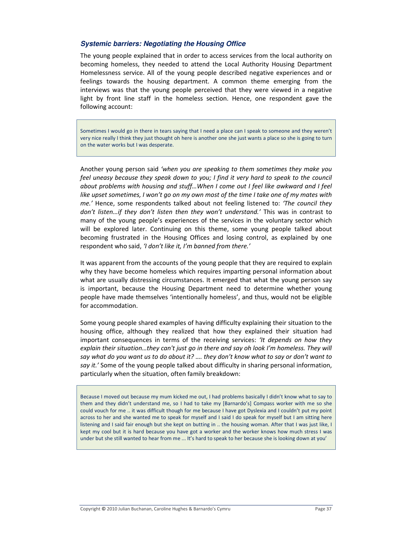#### **Systemic barriers: Negotiating the Housing Office**

The young people explained that in order to access services from the local authority on becoming homeless, they needed to attend the Local Authority Housing Department Homelessness service. All of the young people described negative experiences and or feelings towards the housing department. A common theme emerging from the interviews was that the young people perceived that they were viewed in a negative light by front line staff in the homeless section. Hence, one respondent gave the following account:

Sometimes I would go in there in tears saying that I need a place can I speak to someone and they weren't very nice really I think they just thought oh here is another one she just wants a place so she is going to turn on the water works but I was desperate.

Another young person said 'when you are speaking to them sometimes they make you feel uneasy because they speak down to you; I find it very hard to speak to the council about problems with housing and stuff...When I come out I feel like awkward and I feel like upset sometimes, I won't go on my own most of the time I take one of my mates with me.' Hence, some respondents talked about not feeling listened to: 'The council they don't listen...if they don't listen then they won't understand.' This was in contrast to many of the young people's experiences of the services in the voluntary sector which will be explored later. Continuing on this theme, some young people talked about becoming frustrated in the Housing Offices and losing control, as explained by one respondent who said, 'I don't like it, I'm banned from there.'

It was apparent from the accounts of the young people that they are required to explain why they have become homeless which requires imparting personal information about what are usually distressing circumstances. It emerged that what the young person say is important, because the Housing Department need to determine whether young people have made themselves 'intentionally homeless', and thus, would not be eligible for accommodation.

Some young people shared examples of having difficulty explaining their situation to the housing office, although they realized that how they explained their situation had important consequences in terms of the receiving services: 'It depends on how they explain their situation...they can't just go in there and say oh look I'm homeless. They will say what do you want us to do about it? .... they don't know what to say or don't want to say it.' Some of the young people talked about difficulty in sharing personal information, particularly when the situation, often family breakdown:

Because I moved out because my mum kicked me out, I had problems basically I didn't know what to say to them and they didn't understand me, so I had to take my [Barnardo's] Compass worker with me so she could vouch for me .. it was difficult though for me because I have got Dyslexia and I couldn't put my point across to her and she wanted me to speak for myself and I said I do speak for myself but I am sitting here listening and I said fair enough but she kept on butting in .. the housing woman. After that I was just like, I kept my cool but it is hard because you have got a worker and the worker knows how much stress I was under but she still wanted to hear from me ... It's hard to speak to her because she is looking down at you'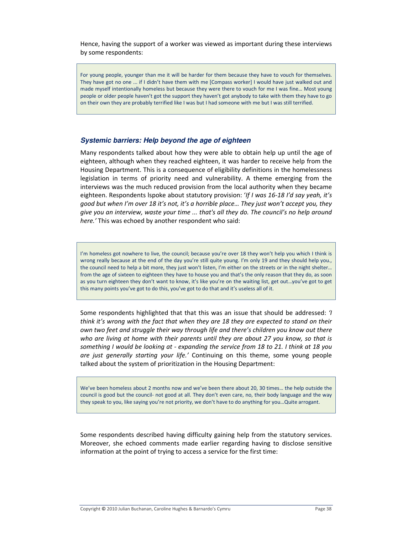Hence, having the support of a worker was viewed as important during these interviews by some respondents:

For young people, younger than me it will be harder for them because they have to vouch for themselves. They have got no one ... if I didn't have them with me [Compass worker] I would have just walked out and made myself intentionally homeless but because they were there to vouch for me I was fine... Most young people or older people haven't got the support they haven't got anybody to take with them they have to go on their own they are probably terrified like I was but I had someone with me but I was still terrified.

#### Systemic barriers: Help beyond the age of eighteen

Many respondents talked about how they were able to obtain help up until the age of eighteen, although when they reached eighteen, it was harder to receive help from the Housing Department. This is a consequence of eligibility definitions in the homelessness legislation in terms of priority need and vulnerability. A theme emerging from the interviews was the much reduced provision from the local authority when they became eighteen. Respondents Ispoke about statutory provision: 'If I was 16-18 I'd say yeah, it's good but when I'm over 18 it's not, it's a horrible place... They just won't accept you, they give you an interview, waste your time ... that's all they do. The council's no help around here.' This was echoed by another respondent who said:

I'm homeless got nowhere to live, the council; because you're over 18 they won't help you which I think is wrong really because at the end of the day you're still quite young. I'm only 19 and they should help you., the council need to help a bit more, they just won't listen, I'm either on the streets or in the night shelter... from the age of sixteen to eighteen they have to house you and that's the only reason that they do, as soon as you turn eighteen they don't want to know, it's like you're on the waiting list, get out...you've got to get this many points you've got to do this, you've got to do that and it's useless all of it.

Some respondents highlighted that that this was an issue that should be addressed: ' think it's wrong with the fact that when they are 18 they are expected to stand on their own two feet and struggle their way through life and there's children you know out there who are living at home with their parents until they are about 27 you know, so that is something I would be looking at - expanding the service from 18 to 21. I think at 18 you are just generally starting your life.' Continuing on this theme, some young people talked about the system of prioritization in the Housing Department:

We've been homeless about 2 months now and we've been there about 20, 30 times... the help outside the council is good but the council- not good at all. They don't even care, no, their body language and the way they speak to you, like saying you're not priority, we don't have to do anything for you...Quite arrogant.

Some respondents described having difficulty gaining help from the statutory services. Moreover, she echoed comments made earlier regarding having to disclose sensitive information at the point of trying to access a service for the first time: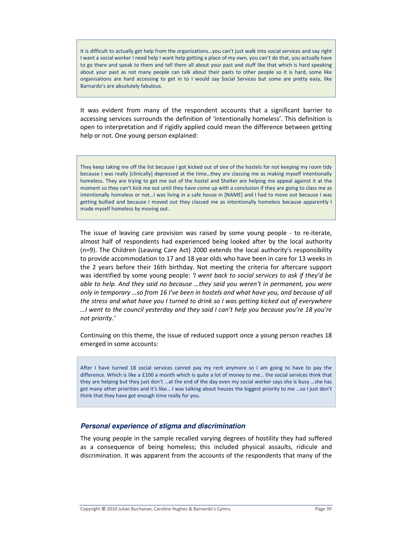It is difficult to actually get help from the organizations...you can't just walk into social services and say right I want a social worker I need help I want help getting a place of my own, you can't do that, you actually have to go there and speak to them and tell them all about your past and stuff like that which is hard speaking about your past as not many people can talk about their pasts to other people so it is hard, some like organisations are hard accessing to get in to I would say Social Services but some are pretty easy, like Barnardo's are absolutely fabulous.

It was evident from many of the respondent accounts that a significant barrier to accessing services surrounds the definition of 'intentionally homeless'. This definition is open to interpretation and if rigidly applied could mean the difference between getting help or not. One young person explained:

They keep taking me off the list because I got kicked out of one of the hostels for not keeping my room tidy because I was really [clinically] depressed at the time...they are classing me as making myself intentionally homeless. They are trying to get me out of the hostel and Shelter are helping me appeal against it at the moment so they can't kick me out until they have come up with a conclusion if they are going to class me as intentionally homeless or not... I was living in a safe house in [NAME] and I had to move out because I was getting bullied and because I moved out they classed me as intentionally homeless because apparently I made myself homeless by moving out.

The issue of leaving care provision was raised by some young people - to re-iterate, almost half of respondents had experienced being looked after by the local authority (n=9). The Children (Leaving Care Act) 2000 extends the local authority's responsibility to provide accommodation to 17 and 18 year olds who have been in care for 13 weeks in the 2 years before their 16th birthday. Not meeting the criteria for aftercare support was identified by some young people: 'I went back to social services to ask if they'd be able to help. And they said no because ...they said you weren't in permanent, you were only in temporary ...so from 16 I've been in hostels and what have you, and because of all the stress and what have you I turned to drink so I was getting kicked out of everywhere ...I went to the council yesterday and they said I can't help you because you're 18 you're not priority.'

Continuing on this theme, the issue of reduced support once a young person reaches 18 emerged in some accounts:

After I have turned 18 social services cannot pay my rent anymore so I am going to have to pay the difference. Which is like a £100 a month which is quite a lot of money to me... the social services think that they are helping but they just don't ...at the end of the day even my social worker says she is busy ...she has got many other priorities and it's like... I was talking about houses the biggest priority to me ...so I just don't think that they have got enough time really for you.

#### Personal experience of stigma and discrimination

The young people in the sample recalled varying degrees of hostility they had suffered as a consequence of being homeless; this included physical assaults, ridicule and discrimination. It was apparent from the accounts of the respondents that many of the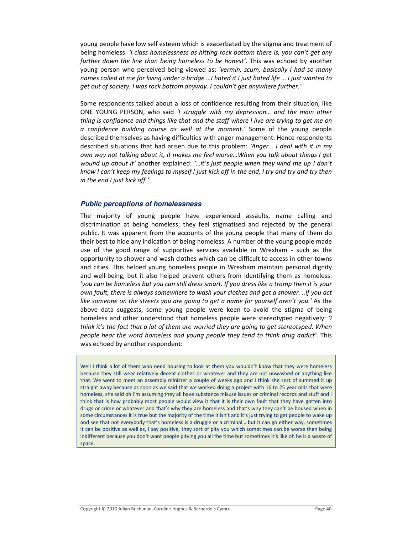young people have low self esteem which is exacerbated by the stigma and treatment of being homeless: 'I class homelessness as hitting rock bottom there is, you can't get any further down the line than being homeless to be honest'. This was echoed by another young person who perceived being viewed as: 'vermin, scum, basically I had so many names called at me for living under a bridge ... I hated it I just hated life ... I just wanted to get out of society. I was rock bottom anyway. I couldn't get anywhere further.'

Some respondents talked about a loss of confidence resulting from their situation, like ONE YOUNG PERSON, who said 'I struggle with my depression... and the main other thing is confidence and things like that and the staff where I live are trying to get me on a confidence building course as well at the moment.' Some of the young people described themselves as having difficulties with anger management. Hence respondents described situations that had arisen due to this problem: 'Anger... I deal with it in my own way not talking about it, it makes me feel worse...When you talk about things I get wound up about it' another explained: '...it's just people when they wind me up I don't know I can't keep my feelings to myself I just kick off in the end, I try and try and try then in the end I just kick off.'

#### **Public perceptions of homelessness**

The majority of young people have experienced assaults, name calling and discrimination at being homeless; they feel stigmatised and rejected by the general public. It was apparent from the accounts of the young people that many of them do their best to hide any indication of being homeless. A number of the young people made use of the good range of supportive services available in Wrexham - such as the opportunity to shower and wash clothes which can be difficult to access in other towns and cities. This helped young homeless people in Wrexham maintain personal dignity and well-being, but it also helped prevent others from identifying them as homeless: 'you can be homeless but you can still dress smart. If you dress like a tramp then it is your own fault, there is always somewhere to wash your clothes and get a shower. ..If you act like someone on the streets you are going to get a name for yourself aren't you.' As the above data suggests, some young people were keen to avoid the stigma of being homeless and other understood that homeless people were stereotyped negatively: ' think it's the fact that a lot of them are worried they are going to get stereotyped. When people hear the word homeless and young people they tend to think drug addict'. This was echoed by another respondent:

Well I think a lot of them who need housing to look at them you wouldn't know that they were homeless because they still wear relatively decent clothes or whatever and they are not unwashed or anything like that. We went to meet an assembly minister a couple of weeks ago and I think she sort of summed it up straight away because as soon as we said that we worked doing a project with 16 to 25 year olds that were homeless, she said oh I'm assuming they all have substance misuse issues or criminal records and stuff and I think that is how probably most people would view it that it is their own fault that they have gotten into drugs or crime or whatever and that's why they are homeless and that's why they can't be housed when in some circumstances it is true but the majority of the time it isn't and it's just trying to get people to wake up and see that not everybody that's homeless is a druggie or a criminal... but it can go either way, sometimes it can be positive as well as, I say positive, they sort of pity you which sometimes can be worse than being indifferent because you don't want people pitying you all the time but sometimes it's like oh he is a waste of space.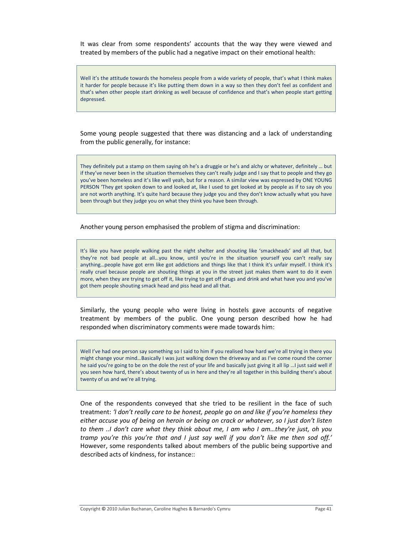It was clear from some respondents' accounts that the way they were viewed and treated by members of the public had a negative impact on their emotional health:

Well it's the attitude towards the homeless people from a wide variety of people, that's what I think makes it harder for people because it's like putting them down in a way so then they don't feel as confident and that's when other people start drinking as well because of confidence and that's when people start getting depressed.

Some young people suggested that there was distancing and a lack of understanding from the public generally, for instance:

They definitely put a stamp on them saying oh he's a druggie or he's and alchy or whatever, definitely ... but if they've never been in the situation themselves they can't really judge and I say that to people and they go you've been homeless and it's like well yeah, but for a reason. A similar view was expressed by ONE YOUNG PERSON 'They get spoken down to and looked at, like I used to get looked at by people as if to say oh you are not worth anything. It's quite hard because they judge you and they don't know actually what you have been through but they judge you on what they think you have been through.

Another young person emphasised the problem of stigma and discrimination:

It's like you have people walking past the night shelter and shouting like 'smackheads' and all that, but they're not bad people at all...you know, until you're in the situation yourself you can't really say anything...people have got erm like got addictions and things like that I think it's unfair myself. I think it's really cruel because people are shouting things at you in the street just makes them want to do it even more, when they are trying to get off it, like trying to get off drugs and drink and what have you and you've got them people shouting smack head and piss head and all that.

Similarly, the young people who were living in hostels gave accounts of negative treatment by members of the public. One young person described how he had responded when discriminatory comments were made towards him:

Well I've had one person say something so I said to him if you realised how hard we're all trying in there you might change your mind...Basically I was just walking down the driveway and as I've come round the corner he said you're going to be on the dole the rest of your life and basically just giving it all lip ... I just said well if you seen how hard, there's about twenty of us in here and they're all together in this building there's about twenty of us and we're all trying.

One of the respondents conveyed that she tried to be resilient in the face of such treatment: 'I don't really care to be honest, people go on and like if you're homeless they either accuse you of being on heroin or being on crack or whatever, so I just don't listen to them ...I don't care what they think about me, I am who I am...they're just, oh you tramp you're this you're that and I just say well if you don't like me then sod off.' However, some respondents talked about members of the public being supportive and described acts of kindness, for instance::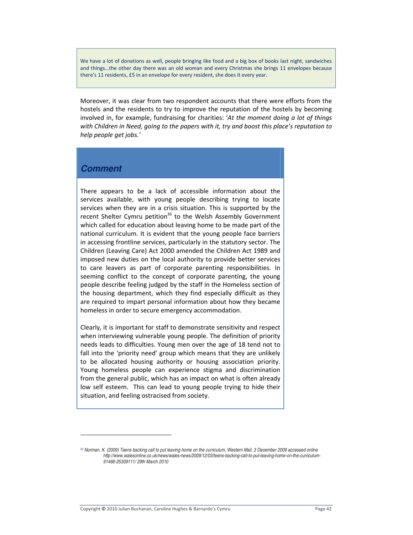We have a lot of donations as well, people bringing like food and a big box of books last night, sandwiches and things... the other day there was an old woman and every Christmas she brings 11 envelopes because there's 11 residents, £5 in an envelope for every resident, she does it every year.

Moreover, it was clear from two respondent accounts that there were efforts from the hostels and the residents to try to improve the reputation of the hostels by becoming involved in, for example, fundraising for charities: 'At the moment doing a lot of things with Children in Need, going to the papers with it, try and boost this place's reputation to help people get jobs.'

### *Comment*

There appears to be a lack of accessible information about the services available, with young people describing trying to locate services when they are in a crisis situation. This is supported by the recent Shelter Cymru petition $^{36}$  to the Welsh Assembly Government which called for education about leaving home to be made part of the national curriculum. It is evident that the young people face barriers in accessing frontline services, particularly in the statutory sector. The Children (Leaving Care) Act 2000 amended the Children Act 1989 and imposed new duties on the local authority to provide better services to care leavers as part of corporate parenting responsibilities. In seeming conflict to the concept of corporate parenting, the young people describe feeling judged by the staff in the Homeless section of the housing department, which they find especially difficult as they are required to impart personal information about how they became homeless in order to secure emergency accommodation.

Clearly, it is important for staff to demonstrate sensitivity and respect when interviewing vulnerable young people. The definition of priority needs leads to difficulties. Young men over the age of 18 tend not to fall into the 'priority need' group which means that they are unlikely to be allocated housing authority or housing association priority. Young homeless people can experience stigma and discrimination from the general public, which has an impact on what is often already low self esteem. This can lead to young people trying to hide their situation, and feeling ostracised from society.

<sup>36</sup> Norman, K. (2009) Teens backing call to put leaving home on the curriculum, Western Mail, 3 December 2009 accessed online *http://www.walesonline.co.uk/news/wales-news/2009/12/03/teens-backing-call-to-put-leaving-home-on-the-curriculum-91466-25309111/ 29th March 2010*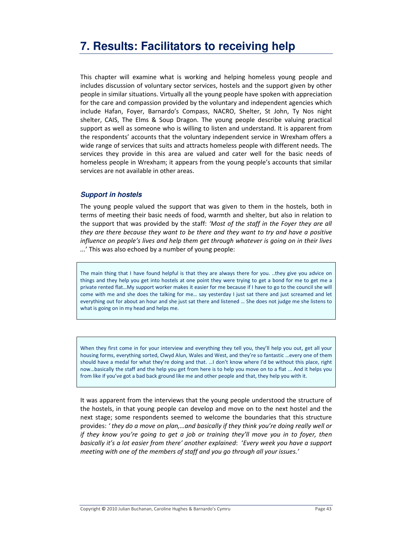This chapter will examine what is working and helping homeless young people and includes discussion of voluntary sector services, hostels and the support given by other people in similar situations. Virtually all the young people have spoken with appreciation for the care and compassion provided by the voluntary and independent agencies which include Hafan, Foyer, Barnardo's Compass, NACRO, Shelter, St John, Ty Nos night shelter, CAIS, The Elms & Soup Dragon. The young people describe valuing practical support as well as someone who is willing to listen and understand. It is apparent from the respondents' accounts that the voluntary independent service in Wrexham offers a wide range of services that suits and attracts homeless people with different needs. The services they provide in this area are valued and cater well for the basic needs of homeless people in Wrexham; it appears from the young people's accounts that similar services are not available in other areas.

#### **Support in hostels**

The young people valued the support that was given to them in the hostels, both in terms of meeting their basic needs of food, warmth and shelter, but also in relation to the support that was provided by the staff: 'Most of the staff in the Foyer they are all they are there because they want to be there and they want to try and have a positive influence on people's lives and help them get through whatever is going on in their lives ...' This was also echoed by a number of young people:

The main thing that I have found helpful is that they are always there for you. ..they give you advice on things and they help you get into hostels at one point they were trying to get a bond for me to get me a private rented flat...My support worker makes it easier for me because if I have to go to the council she will come with me and she does the talking for me... say yesterday I just sat there and just screamed and let everything out for about an hour and she just sat there and listened ... She does not judge me she listens to what is going on in my head and helps me.

When they first come in for your interview and everything they tell you, they'll help you out, get all your housing forms, everything sorted, Clwyd Alun, Wales and West, and they're so fantastic ...every one of them should have a medal for what they're doing and that. ... I don't know where I'd be without this place, right now...basically the staff and the help you get from here is to help you move on to a flat ... And it helps you from like if you've got a bad back ground like me and other people and that, they help you with it.

It was apparent from the interviews that the young people understood the structure of the hostels, in that young people can develop and move on to the next hostel and the next stage; some respondents seemed to welcome the boundaries that this structure provides: 'they do a move on plan,...and basically if they think you're doing really well or if they know you're going to get a job or training they'll move you in to foyer, then basically it's a lot easier from there' another explained: 'Every week you have a support meeting with one of the members of staff and you go through all your issues.'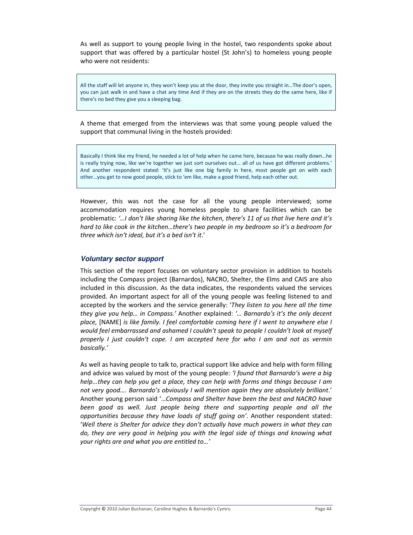As well as support to young people living in the hostel, two respondents spoke about support that was offered by a particular hostel (St John's) to homeless young people who were not residents:

All the staff will let anyone in, they won't keep you at the door, they invite you straight in...The door's open, you can just walk in and have a chat any time And if they are on the streets they do the same here, like if there's no bed they give you a sleeping bag.

A theme that emerged from the interviews was that some young people valued the support that communal living in the hostels provided:

Basically I think like my friend, he needed a lot of help when he came here, because he was really down...he is really trying now, like we're together we just sort ourselves out... all of us have got different problems.' And another respondent stated: 'It's just like one big family in here, most people get on with each other...you get to now good people, stick to 'em like, make a good friend, help each other out.

However, this was not the case for all the young people interviewed; some accommodation requires young homeless people to share facilities which can be problematic: '... I don't like sharing like the kitchen, there's 11 of us that live here and it's hard to like cook in the kitchen...there's two people in my bedroom so it's a bedroom for three which isn't ideal, but it's a bed isn't it.'

#### **Voluntary sector support**

This section of the report focuses on voluntary sector provision in addition to hostels including the Compass project (Barnardos), NACRO, Shelter, the Elms and CAIS are also included in this discussion. As the data indicates, the respondents valued the services provided. An important aspect for all of the young people was feeling listened to and accepted by the workers and the service generally: 'They listen to you here all the time they give you help... in Compass.' Another explained: '... Barnardo's it's the only decent place, [NAME] is like family. I feel comfortable coming here if I went to anywhere else I would feel embarrassed and ashamed I couldn't speak to people I couldn't look at myself properly I just couldn't cope. I am accepted here for who I am and not as vermin basically.'

As well as having people to talk to, practical support like advice and help with form filling and advice was valued by most of the young people: 'I found that Barnardo's were a big help...they can help you get a place, they can help with forms and things because I am not very good.... Barnardo's obviously I will mention again they are absolutely brilliant.' Another young person said '...Compass and Shelter have been the best and NACRO have been good as well. Just people being there and supporting people and all the opportunities because they have loads of stuff going on'. Another respondent stated: 'Well there is Shelter for advice they don't actually have much powers in what they can do, they are very good in helping you with the legal side of things and knowing what your rights are and what you are entitled to...'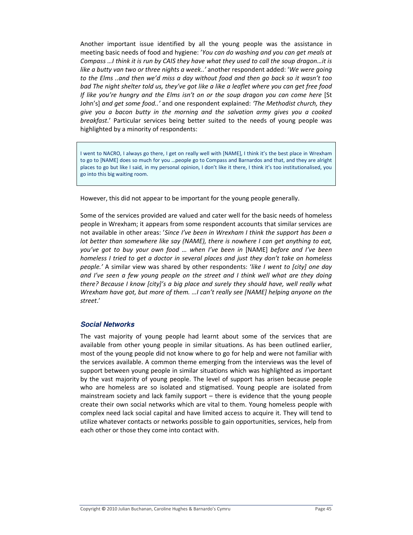Another important issue identified by all the young people was the assistance in meeting basic needs of food and hygiene: 'You can do washing and you can get meals at Compass ... I think it is run by CAIS they have what they used to call the soup dragon... it is like a butty van two or three nights a week..' another respondent added: 'We were going to the Elms ..and then we'd miss a day without food and then go back so it wasn't too bad The night shelter told us, they've got like a like a leaflet where you can get free food If like you're hungry and the Elms isn't on or the soup dragon you can come here [St John's] and get some food..' and one respondent explained: 'The Methodist church, they give you a bacon butty in the morning and the salvation army gives you a cooked breakfast.' Particular services being better suited to the needs of young people was highlighted by a minority of respondents:

I went to NACRO, I always go there, I get on really well with [NAME], I think it's the best place in Wrexham to go to [NAME] does so much for you ...people go to Compass and Barnardos and that, and they are alright places to go but like I said, in my personal opinion, I don't like it there, I think it's too institutionalised, you go into this big waiting room.

However, this did not appear to be important for the young people generally.

Some of the services provided are valued and cater well for the basic needs of homeless people in Wrexham; it appears from some respondent accounts that similar services are not available in other areas: 'Since I've been in Wrexham I think the support has been a lot better than somewhere like say (NAME), there is nowhere I can get anything to eat, you've got to buy your own food ... when I've been in [NAME] before and I've been homeless I tried to get a doctor in several places and just they don't take on homeless people.' A similar view was shared by other respondents: 'like I went to [city] one day and I've seen a few young people on the street and I think well what are they doing there? Because I know [city]'s a big place and surely they should have, well really what Wrexham have got, but more of them. ...I can't really see [NAME] helping anyone on the street.'

#### **Social Networks**

The vast majority of young people had learnt about some of the services that are available from other young people in similar situations. As has been outlined earlier, most of the young people did not know where to go for help and were not familiar with the services available. A common theme emerging from the interviews was the level of support between young people in similar situations which was highlighted as important by the vast majority of young people. The level of support has arisen because people who are homeless are so isolated and stigmatised. Young people are isolated from mainstream society and lack family support – there is evidence that the young people create their own social networks which are vital to them. Young homeless people with complex need lack social capital and have limited access to acquire it. They will tend to utilize whatever contacts or networks possible to gain opportunities, services, help from each other or those they come into contact with.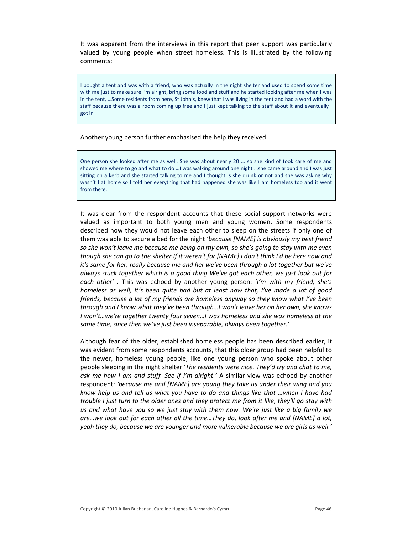It was apparent from the interviews in this report that peer support was particularly valued by young people when street homeless. This is illustrated by the following comments:

I bought a tent and was with a friend, who was actually in the night shelter and used to spend some time with me just to make sure I'm alright, bring some food and stuff and he started looking after me when I was in the tent, ... Some residents from here, St John's, knew that I was living in the tent and had a word with the staff because there was a room coming up free and I just kept talking to the staff about it and eventually I got in

#### Another young person further emphasised the help they received:

One person she looked after me as well. She was about nearly 20 ... so she kind of took care of me and showed me where to go and what to do ... I was walking around one night ...she came around and I was just sitting on a kerb and she started talking to me and I thought is she drunk or not and she was asking why wasn't I at home so I told her everything that had happened she was like I am homeless too and it went from there.

It was clear from the respondent accounts that these social support networks were valued as important to both young men and young women. Some respondents described how they would not leave each other to sleep on the streets if only one of them was able to secure a bed for the night 'because [NAME] is obviously my best friend so she won't leave me because me being on my own, so she's going to stay with me even though she can go to the shelter If it weren't for [NAME] I don't think I'd be here now and it's same for her, really because me and her we've been through a lot together but we've always stuck together which is a good thing We've got each other, we just look out for each other'. This was echoed by another young person: 'I'm with my friend, she's homeless as well, It's been quite bad but at least now that, I've made a lot of good friends, because a lot of my friends are homeless anyway so they know what I've been through and I know what they've been through...I won't leave her on her own, she knows I won't...we're together twenty four seven...I was homeless and she was homeless at the same time, since then we've just been inseparable, always been together.'

Although fear of the older, established homeless people has been described earlier, it was evident from some respondents accounts, that this older group had been helpful to the newer, homeless young people, like one young person who spoke about other people sleeping in the night shelter 'The residents were nice. They'd try and chat to me, ask me how I am and stuff. See if I'm alright.' A similar view was echoed by another respondent: 'because me and [NAME] are young they take us under their wing and you know help us and tell us what you have to do and things like that ...when I have had trouble I just turn to the older ones and they protect me from it like, they'll go stay with us and what have you so we just stay with them now. We're just like a big family we are...we look out for each other all the time...They do, look after me and [NAME] a lot, yeah they do, because we are younger and more vulnerable because we are girls as well.'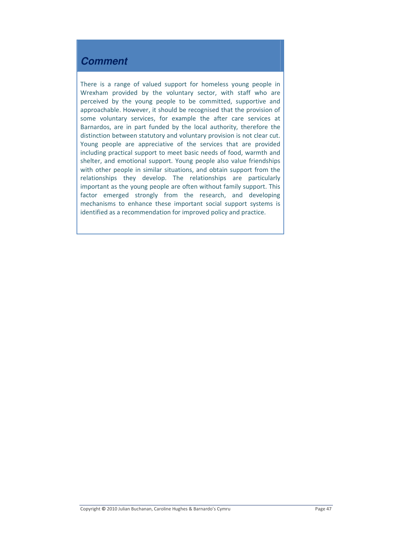## **Comment**

There is a range of valued support for homeless young people in Wrexham provided by the voluntary sector, with staff who are perceived by the young people to be committed, supportive and approachable. However, it should be recognised that the provision of some voluntary services, for example the after care services at Barnardos, are in part funded by the local authority, therefore the distinction between statutory and voluntary provision is not clear cut. Young people are appreciative of the services that are provided including practical support to meet basic needs of food, warmth and shelter, and emotional support. Young people also value friendships with other people in similar situations, and obtain support from the relationships they develop. The relationships are particularly important as the young people are often without family support. This factor emerged strongly from the research, and developing mechanisms to enhance these important social support systems is identified as a recommendation for improved policy and practice.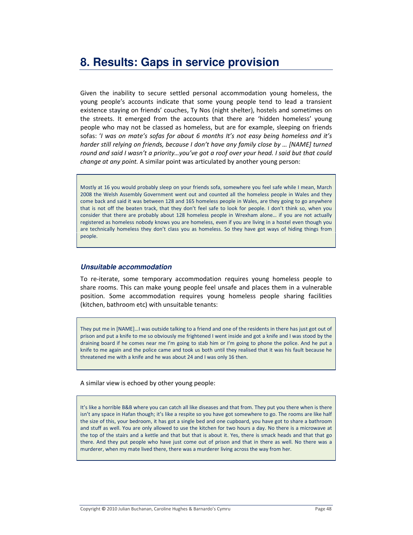## 8. Results: Gaps in service provision

Given the inability to secure settled personal accommodation young homeless, the young people's accounts indicate that some young people tend to lead a transient existence staying on friends' couches, Ty Nos (night shelter), hostels and sometimes on the streets. It emerged from the accounts that there are 'hidden homeless' young people who may not be classed as homeless, but are for example, sleeping on friends sofas: 'I was on mate's sofas for about 6 months It's not easy being homeless and it's harder still relying on friends, because I don't have any family close by ... [NAME] turned round and said I wasn't a priority...you've got a roof over your head. I said but that could change at any point. A similar point was articulated by another young person:

Mostly at 16 you would probably sleep on your friends sofa, somewhere you feel safe while I mean, March 2008 the Welsh Assembly Government went out and counted all the homeless people in Wales and they come back and said it was between 128 and 165 homeless people in Wales, are they going to go anywhere that is not off the beaten track, that they don't feel safe to look for people. I don't think so, when you consider that there are probably about 128 homeless people in Wrexham alone... if you are not actually registered as homeless nobody knows you are homeless, even if you are living in a hostel even though you are technically homeless they don't class you as homeless. So they have got ways of hiding things from people.

#### Unsuitable accommodation

To re-iterate, some temporary accommodation requires young homeless people to share rooms. This can make young people feel unsafe and places them in a vulnerable position. Some accommodation requires young homeless people sharing facilities (kitchen, bathroom etc) with unsuitable tenants:

They put me in [NAME]...I was outside talking to a friend and one of the residents in there has just got out of prison and put a knife to me so obviously me frightened I went inside and got a knife and I was stood by the draining board if he comes near me I'm going to stab him or I'm going to phone the police. And he put a knife to me again and the police came and took us both until they realised that it was his fault because he threatened me with a knife and he was about 24 and I was only 16 then.

A similar view is echoed by other young people:

It's like a horrible B&B where you can catch all like diseases and that from. They put you there when is there isn't any space in Hafan though; it's like a respite so you have got somewhere to go. The rooms are like half the size of this, your bedroom, it has got a single bed and one cupboard, you have got to share a bathroom and stuff as well. You are only allowed to use the kitchen for two hours a day. No there is a microwave at the top of the stairs and a kettle and that but that is about it. Yes, there is smack heads and that that go there. And they put people who have just come out of prison and that in there as well. No there was a murderer, when my mate lived there, there was a murderer living across the way from her.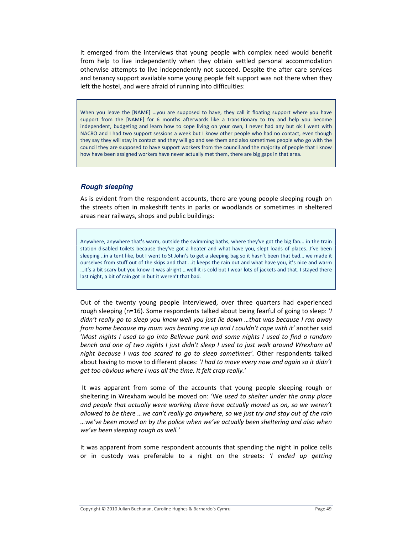It emerged from the interviews that young people with complex need would benefit from help to live independently when they obtain settled personal accommodation otherwise attempts to live independently not succeed. Despite the after care services and tenancy support available some young people felt support was not there when they left the hostel, and were afraid of running into difficulties:

When you leave the [NAME] ...you are supposed to have, they call it floating support where you have support from the [NAME] for 6 months afterwards like a transitionary to try and help you become independent, budgeting and learn how to cope living on your own, I never had any but ok I went with NACRO and I had two support sessions a week but I know other people who had no contact, even though they say they will stay in contact and they will go and see them and also sometimes people who go with the council they are supposed to have support workers from the council and the majority of people that I know how have been assigned workers have never actually met them, there are big gaps in that area.

#### **Rough sleeping**

As is evident from the respondent accounts, there are young people sleeping rough on the streets often in makeshift tents in parks or woodlands or sometimes in sheltered areas near railways, shops and public buildings:

Anywhere, anywhere that's warm, outside the swimming baths, where they've got the big fan... in the train station disabled toilets because they've got a heater and what have you, slept loads of places...I've been sleeping ..in a tent like, but I went to St John's to get a sleeping bag so it hasn't been that bad... we made it ourselves from stuff out of the skips and that ... it keeps the rain out and what have you, it's nice and warm ...it's a bit scary but you know it was alright ...well it is cold but I wear lots of jackets and that. I stayed there last night, a bit of rain got in but it weren't that bad.

Out of the twenty young people interviewed, over three quarters had experienced rough sleeping (n=16). Some respondents talked about being fearful of going to sleep: '/ didn't really go to sleep you know well you just lie down ...that was because I ran away from home because my mum was beating me up and I couldn't cope with it' another said 'Most nights I used to go into Bellevue park and some nights I used to find a random bench and one of two nights I just didn't sleep I used to just walk around Wrexham all night because I was too scared to go to sleep sometimes'. Other respondents talked about having to move to different places: 'I had to move every now and again so it didn't get too obvious where I was all the time. It felt crap really.'

It was apparent from some of the accounts that young people sleeping rough or sheltering in Wrexham would be moved on: 'We used to shelter under the army place and people that actually were working there have actually moved us on, so we weren't allowed to be there ...we can't really go anywhere, so we just try and stay out of the rain ...we've been moved on by the police when we've actually been sheltering and also when we've been sleeping rough as well.'

It was apparent from some respondent accounts that spending the night in police cells or in custody was preferable to a night on the streets: 'I ended up getting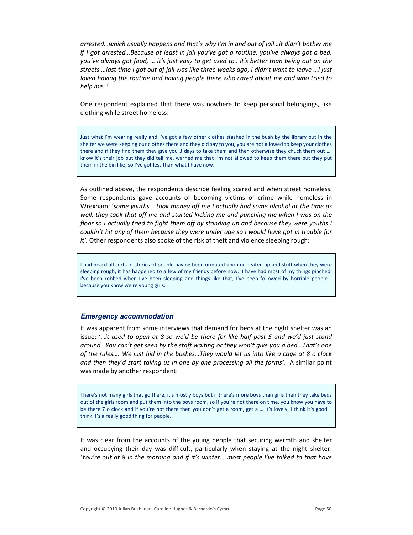arrested...which usually happens and that's why I'm in and out of jail...it didn't bother me if I got arrested...Because at least in jail you've got a routine, you've always got a bed, you've always got food, ... it's just easy to get used to.. it's better than being out on the streets ... last time I got out of jail was like three weeks ago, I didn't want to leave ... I just loved having the routine and having people there who cared about me and who tried to help me.'

One respondent explained that there was nowhere to keep personal belongings, like clothing while street homeless:

Just what I'm wearing really and I've got a few other clothes stashed in the bush by the library but in the shelter we were keeping our clothes there and they did say to you, you are not allowed to keep your clothes there and if they find them they give you 3 days to take them and then otherwise they chuck them out ... I know it's their job but they did tell me, warned me that I'm not allowed to keep them there but they put them in the bin like, so I've got less than what I have now.

As outlined above, the respondents describe feeling scared and when street homeless. Some respondents gave accounts of becoming victims of crime while homeless in Wrexham: 'some youths ...took money off me I actually had some alcohol at the time as well, they took that off me and started kicking me and punching me when I was on the floor so I actually tried to fight them off by standing up and because they were youths I couldn't hit any of them because they were under age so I would have got in trouble for it'. Other respondents also spoke of the risk of theft and violence sleeping rough:

I had heard all sorts of stories of people having been urinated upon or beaten up and stuff when they were sleeping rough, it has happened to a few of my friends before now. I have had most of my things pinched, I've been robbed when I've been sleeping and things like that, I've been followed by horrible people.., because you know we're young girls.

#### **Emergency accommodation**

It was apparent from some interviews that demand for beds at the night shelter was an issue: '...it used to open at 8 so we'd be there for like half past 5 and we'd just stand around...You can't get seen by the staff waiting or they won't give you a bed...That's one of the rules.... We just hid in the bushes...They would let us into like a cage at 8 o clock and then they'd start taking us in one by one processing all the forms'. A similar point was made by another respondent:

There's not many girls that go there, it's mostly boys but if there's more boys than girls then they take beds out of the girls room and put them into the boys room, so if you're not there on time, you know you have to be there 7 o clock and if you're not there then you don't get a room, get a ... It's lovely, I think it's good. I think it's a really good thing for people.

It was clear from the accounts of the young people that securing warmth and shelter and occupying their day was difficult, particularly when staying at the night shelter: 'You're out at 8 in the morning and if it's winter... most people I've talked to that have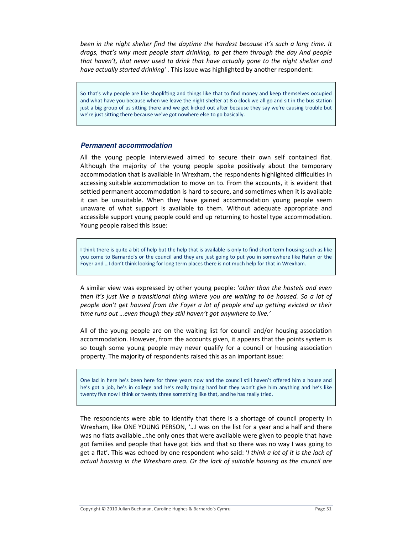been in the night shelter find the daytime the hardest because it's such a long time. It drags, that's why most people start drinking, to get them through the day And people that haven't, that never used to drink that have actually gone to the night shelter and have actually started drinking'. This issue was highlighted by another respondent:

So that's why people are like shoplifting and things like that to find money and keep themselves occupied and what have you because when we leave the night shelter at 8 o clock we all go and sit in the bus station just a big group of us sitting there and we get kicked out after because they say we're causing trouble but we're just sitting there because we've got nowhere else to go basically.

#### **Permanent accommodation**

All the young people interviewed aimed to secure their own self contained flat. Although the majority of the young people spoke positively about the temporary accommodation that is available in Wrexham, the respondents highlighted difficulties in accessing suitable accommodation to move on to. From the accounts, it is evident that settled permanent accommodation is hard to secure, and sometimes when it is available it can be unsuitable. When they have gained accommodation young people seem unaware of what support is available to them. Without adequate appropriate and accessible support young people could end up returning to hostel type accommodation. Young people raised this issue:

I think there is quite a bit of help but the help that is available is only to find short term housing such as like you come to Barnardo's or the council and they are just going to put you in somewhere like Hafan or the Foyer and ... I don't think looking for long term places there is not much help for that in Wrexham.

A similar view was expressed by other young people: 'other than the hostels and even then it's just like a transitional thing where you are waiting to be housed. So a lot of people don't get housed from the Foyer a lot of people end up getting evicted or their time runs out ... even though they still haven't got anywhere to live.'

All of the young people are on the waiting list for council and/or housing association accommodation. However, from the accounts given, it appears that the points system is so tough some young people may never qualify for a council or housing association property. The majority of respondents raised this as an important issue:

One lad in here he's been here for three years now and the council still haven't offered him a house and he's got a job, he's in college and he's really trying hard but they won't give him anything and he's like twenty five now I think or twenty three something like that, and he has really tried.

The respondents were able to identify that there is a shortage of council property in Wrexham, like ONE YOUNG PERSON, '... I was on the list for a year and a half and there was no flats available...the only ones that were available were given to people that have got families and people that have got kids and that so there was no way I was going to get a flat'. This was echoed by one respondent who said: 'I think a lot of it is the lack of actual housing in the Wrexham area. Or the lack of suitable housing as the council are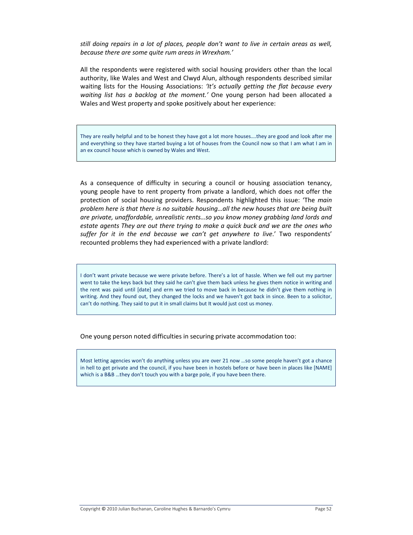still doing repairs in a lot of places, people don't want to live in certain areas as well, because there are some quite rum areas in Wrexham.'

All the respondents were registered with social housing providers other than the local authority, like Wales and West and Clwyd Alun, although respondents described similar waiting lists for the Housing Associations: 'It's actually getting the flat because every waiting list has a backlog at the moment.' One young person had been allocated a Wales and West property and spoke positively about her experience:

They are really helpful and to be honest they have got a lot more houses....they are good and look after me and everything so they have started buying a lot of houses from the Council now so that I am what I am in an ex council house which is owned by Wales and West.

As a consequence of difficulty in securing a council or housing association tenancy, young people have to rent property from private a landlord, which does not offer the protection of social housing providers. Respondents highlighted this issue: 'The main problem here is that there is no suitable housing...all the new houses that are being built are private, unaffordable, unrealistic rents...so you know money grabbing land lords and estate agents They are out there trying to make a quick buck and we are the ones who suffer for it in the end because we can't get anywhere to live.' Two respondents' recounted problems they had experienced with a private landlord:

I don't want private because we were private before. There's a lot of hassle. When we fell out my partner went to take the keys back but they said he can't give them back unless he gives them notice in writing and the rent was paid until [date] and erm we tried to move back in because he didn't give them nothing in writing. And they found out, they changed the locks and we haven't got back in since. Been to a solicitor, can't do nothing. They said to put it in small claims but It would just cost us money.

One young person noted difficulties in securing private accommodation too:

Most letting agencies won't do anything unless you are over 21 now ...so some people haven't got a chance in hell to get private and the council, if you have been in hostels before or have been in places like [NAME] which is a B&B ...they don't touch you with a barge pole, if you have been there.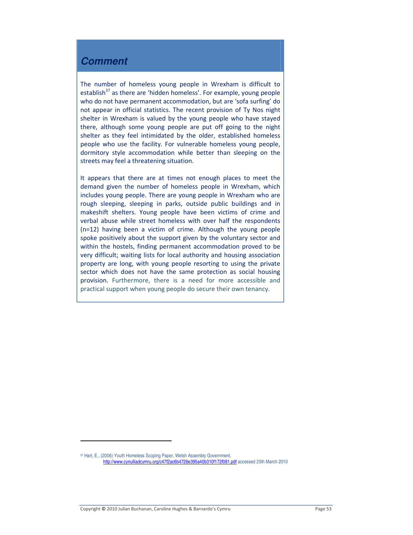### **Comment**

The number of homeless young people in Wrexham is difficult to establish<sup>37</sup> as there are 'hidden homeless'. For example, young people who do not have permanent accommodation, but are 'sofa surfing' do not appear in official statistics. The recent provision of Ty Nos night shelter in Wrexham is valued by the young people who have stayed there, although some young people are put off going to the night shelter as they feel intimidated by the older, established homeless people who use the facility. For vulnerable homeless young people, dormitory style accommodation while better than sleeping on the streets may feel a threatening situation.

It appears that there are at times not enough places to meet the demand given the number of homeless people in Wrexham, which includes young people. There are young people in Wrexham who are rough sleeping, sleeping in parks, outside public buildings and in makeshift shelters. Young people have been victims of crime and verbal abuse while street homeless with over half the respondents (n=12) having been a victim of crime. Although the young people spoke positively about the support given by the voluntary sector and within the hostels, finding permanent accommodation proved to be very difficult; waiting lists for local authority and housing association property are long, with young people resorting to using the private sector which does not have the same protection as social housing provision. Furthermore, there is a need for more accessible and practical support when young people do secure their own tenancy.

<sup>37</sup> Hart, E., (2006) Youth Homeless Scoping Paper, Welsh Assembly Government, http://www.cynulliadcymru.org/c47f2ac6b4726e395a40b310f172f081.pdf accessed 25th March 2010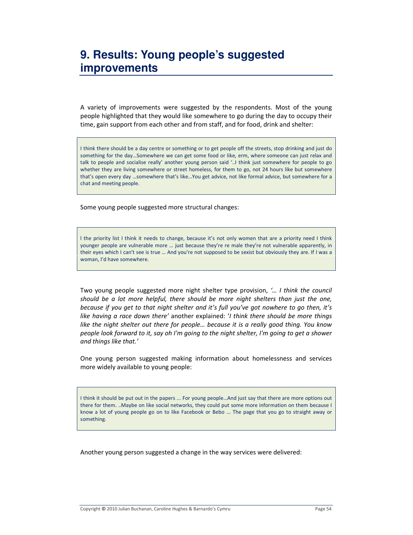A variety of improvements were suggested by the respondents. Most of the young people highlighted that they would like somewhere to go during the day to occupy their time, gain support from each other and from staff, and for food, drink and shelter:

I think there should be a day centre or something or to get people off the streets, stop drinking and just do something for the day...Somewhere we can get some food or like, erm, where someone can just relax and talk to people and socialise really' another young person said '... I think just somewhere for people to go whether they are living somewhere or street homeless, for them to go, not 24 hours like but somewhere that's open every day ...somewhere that's like...You get advice, not like formal advice, but somewhere for a chat and meeting people.

Some young people suggested more structural changes:

I the priority list I think it needs to change, because it's not only women that are a priority need I think younger people are vulnerable more ... just because they're re male they're not vulnerable apparently, in their eyes which I can't see is true ... And you're not supposed to be sexist but obviously they are. If I was a woman, I'd have somewhere.

Two young people suggested more night shelter type provision, '... I think the council should be a lot more helpful, there should be more night shelters than just the one, because if you get to that night shelter and it's full you've got nowhere to go then, it's like having a race down there' another explained: 'I think there should be more things like the night shelter out there for people... because it is a really good thing. You know people look forward to it, say oh I'm going to the night shelter, I'm going to get a shower and things like that.'

One young person suggested making information about homelessness and services more widely available to young people:

I think it should be put out in the papers ... For young people...And just say that there are more options out there for them. .. Maybe on like social networks, they could put some more information on them because I know a lot of young people go on to like Facebook or Bebo ... The page that you go to straight away or something.

Another young person suggested a change in the way services were delivered: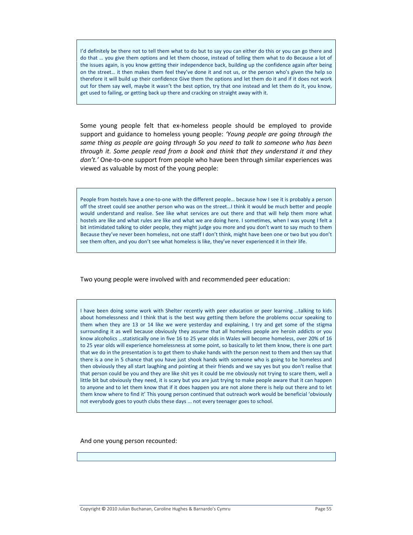I'd definitely be there not to tell them what to do but to say you can either do this or you can go there and do that ... you give them options and let them choose, instead of telling them what to do Because a lot of the issues again, is you know getting their independence back, building up the confidence again after being on the street... it then makes them feel they've done it and not us, or the person who's given the help so therefore it will build up their confidence Give them the options and let them do it and if it does not work out for them say well, maybe it wasn't the best option, try that one instead and let them do it, you know, get used to failing, or getting back up there and cracking on straight away with it.

Some young people felt that ex-homeless people should be employed to provide support and guidance to homeless young people: 'Young people are going through the same thing as people are going through So you need to talk to someone who has been through it. Some people read from a book and think that they understand it and they don't.' One-to-one support from people who have been through similar experiences was viewed as valuable by most of the young people:

People from hostels have a one-to-one with the different people... because how I see it is probably a person off the street could see another person who was on the street...I think it would be much better and people would understand and realise. See like what services are out there and that will help them more what hostels are like and what rules are like and what we are doing here. I sometimes, when I was young I felt a bit intimidated talking to older people, they might judge you more and you don't want to say much to them Because they've never been homeless, not one staff I don't think, might have been one or two but you don't see them often, and you don't see what homeless is like, they've never experienced it in their life.

Two young people were involved with and recommended peer education:

I have been doing some work with Shelter recently with peer education or peer learning ...talking to kids about homelessness and I think that is the best way getting them before the problems occur speaking to them when they are 13 or 14 like we were yesterday and explaining, I try and get some of the stigma surrounding it as well because obviously they assume that all homeless people are heroin addicts or you know alcoholics ...statistically one in five 16 to 25 year olds in Wales will become homeless, over 20% of 16 to 25 year olds will experience homelessness at some point, so basically to let them know, there is one part that we do in the presentation is to get them to shake hands with the person next to them and then say that there is a one in 5 chance that you have just shook hands with someone who is going to be homeless and then obviously they all start laughing and pointing at their friends and we say yes but you don't realise that that person could be you and they are like shit yes it could be me obviously not trying to scare them, well a little bit but obviously they need, it is scary but you are just trying to make people aware that it can happen to anyone and to let them know that if it does happen you are not alone there is help out there and to let them know where to find it' This young person continued that outreach work would be beneficial 'obviously not everybody goes to youth clubs these days ... not every teenager goes to school.

And one young person recounted: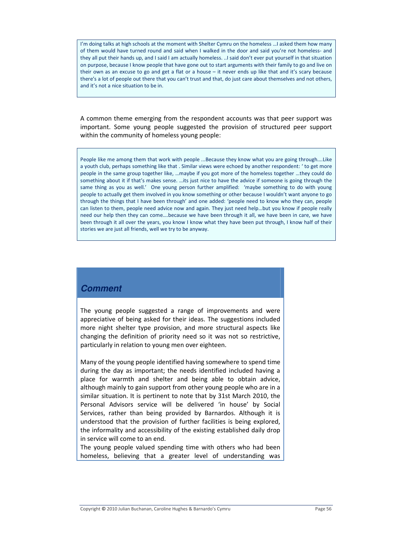I'm doing talks at high schools at the moment with Shelter Cymru on the homeless ... I asked them how many of them would have turned round and said when I walked in the door and said you're not homeless- and they all put their hands up, and I said I am actually homeless. ..I said don't ever put yourself in that situation on purpose, because I know people that have gone out to start arguments with their family to go and live on their own as an excuse to go and get a flat or a house - it never ends up like that and it's scary because there's a lot of people out there that you can't trust and that, do just care about themselves and not others, and it's not a nice situation to be in.

A common theme emerging from the respondent accounts was that peer support was important. Some young people suggested the provision of structured peer support within the community of homeless young people:

People like me among them that work with people ...Because they know what you are going through....Like a youth club, perhaps something like that . Similar views were echoed by another respondent: ' to get more people in the same group together like, ...maybe if you got more of the homeless together ...they could do something about it if that's makes sense. ... its just nice to have the advice if someone is going through the same thing as you as well.' One young person further amplified: 'maybe something to do with young people to actually get them involved in you know something or other because I wouldn't want anyone to go through the things that I have been through' and one added: 'people need to know who they can, people can listen to them, people need advice now and again. They just need help...but you know if people really need our help then they can come....because we have been through it all, we have been in care, we have been through it all over the years, you know I know what they have been put through, I know half of their stories we are just all friends, well we try to be anyway.

### **Comment**

The young people suggested a range of improvements and were appreciative of being asked for their ideas. The suggestions included more night shelter type provision, and more structural aspects like changing the definition of priority need so it was not so restrictive, particularly in relation to young men over eighteen.

Many of the young people identified having somewhere to spend time during the day as important; the needs identified included having a place for warmth and shelter and being able to obtain advice, although mainly to gain support from other young people who are in a similar situation. It is pertinent to note that by 31st March 2010, the Personal Advisors service will be delivered 'in house' by Social Services, rather than being provided by Barnardos. Although it is understood that the provision of further facilities is being explored, the informality and accessibility of the existing established daily drop in service will come to an end.

The young people valued spending time with others who had been homeless, believing that a greater level of understanding was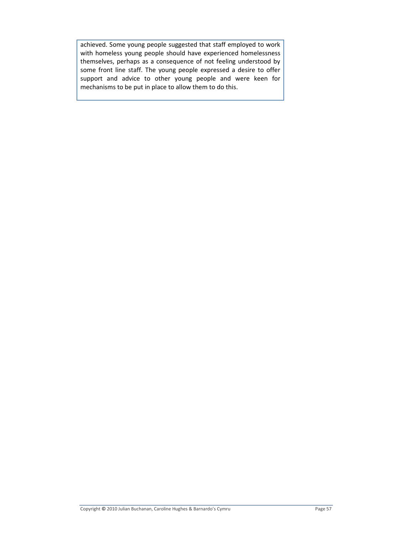achieved. Some young people suggested that staff employed to work with homeless young people should have experienced homelessness themselves, perhaps as a consequence of not feeling understood by some front line staff. The young people expressed a desire to offer support and advice to other young people and were keen for mechanisms to be put in place to allow them to do this.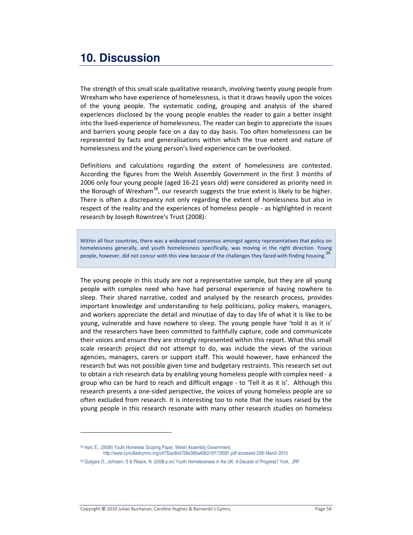## **10. Discussion**

The strength of this small scale qualitative research, involving twenty young people fron Wrexham who have experience of homelessness, is that it draws heavily upon the voices of the young people. The systematic coding, grouping and analysis of the shared experiences disclosed by the young people enables the reader to gain a better insight into the lived-experience of homelessness. The reader can begin to appreciate the issues and barriers young people face on a day to day basis. Too often homelessness can be represented by facts and generalisations within which the true extent and nature of homelessness and the young person's lived experience can be overlooked.

Definitions and calculations regarding the extent of homelessness are contested. According the figures from the Welsh Assembly Government in the first 3 months of 2006 only four young people (aged 16-21 years old) were considered as priority need in the Borough of Wrexham<sup>38</sup>, our research suggests the true extent is likely to be higher. There is often a discrepancy not only regarding the extent of homlessness but also in respect of the reality and the experiences of homeless people - as highlighted in recent research by Joseph Rowntree's Trust (2008):

Within all four countries, there was a widespread consensus amongst agency representatives that policy on homelessness generally, and youth homelessness specifically, was moving in the right direction. Young people, however, did not concur with this view because of the challenges they faced with finding housing.<sup>39</sup>

The young people in this study are not a representative sample, but they are all young people with complex need who have had personal experience of having nowhere to sleep. Their shared narrative, coded and analysed by the research process, provides important knowledge and understanding to help politicians, policy makers, managers, and workers appreciate the detail and minutiae of day to day life of what it is like to be young, vulnerable and have nowhere to sleep. The young people have 'told it as it is' and the researchers have been committed to faithfully capture, code and communicate their voices and ensure they are strongly represented within this report. What this small scale research project did not attempt to do, was include the views of the various agencies, managers, carers or support staff. This would however, have enhanced the research but was not possible given time and budgetary restraints. This research set out to obtain a rich research data by enabling young homeless people with complex need - a group who can be hard to reach and difficult engage - to 'Tell it as it is'. Although this research presents a one-sided perspective, the voices of young homeless people are so often excluded from research. It is interesting too to note that the issues raised by the young people in this research resonate with many other research studies on homeless

<sup>38</sup> Hart, E., (2006) Youth Homeless Scoping Paper, Welsh Assembly Government, http://www.cynulliadcymru.org/c47f2ac6b4726e395a40b310f172f081.pdf accessed 25th March 2010

<sup>39</sup> Quilgars D., Johnsen, S & Pleace, N. (2008 p.xv) Youth Homelessness in the UK: A Decade of Progress? York, JRF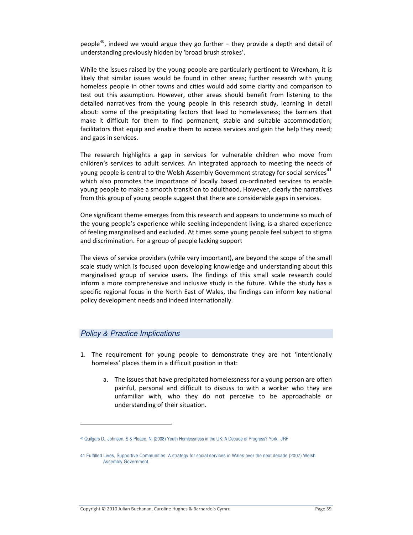people<sup>40</sup>, indeed we would argue they go further – they provide a depth and detail of understanding previously hidden by 'broad brush strokes'.

While the issues raised by the young people are particularly pertinent to Wrexham, it is likely that similar issues would be found in other areas; further research with young homeless people in other towns and cities would add some clarity and comparison to test out this assumption. However, other areas should benefit from listening to the detailed narratives from the young people in this research study, learning in detail about: some of the precipitating factors that lead to homelessness; the barriers that make it difficult for them to find permanent, stable and suitable accommodation; facilitators that equip and enable them to access services and gain the help they need; and gaps in services.

The research highlights a gap in services for vulnerable children who move fron children's services to adult services. An integrated approach to meeting the needs of young people is central to the Welsh Assembly Government strategy for social services $^{41}$ which also promotes the importance of locally based co-ordinated services to enable young people to make a smooth transition to adulthood. However, clearly the narratives from this group of young people suggest that there are considerable gaps in services.

One significant theme emerges from this research and appears to undermine so much of the young people's experience while seeking independent living, is a shared experience of feeling marginalised and excluded. At times some young people feel subject to stigma and discrimination. For a group of people lacking support

The views of service providers (while very important), are beyond the scope of the small scale study which is focused upon developing knowledge and understanding about this marginalised group of service users. The findings of this small scale research could inform a more comprehensive and inclusive study in the future. While the study has a specific regional focus in the North East of Wales, the findings can inform key national policy development needs and indeed internationally.

#### *Policy & Practice Implications*

- 1. The requirement for young people to demonstrate they are not 'intentionally homeless' places them in a difficult position in that:
	- a. The issues that have precipitated homelessness for a young person are often painful, personal and difficult to discuss to with a worker who they are unfamiliar with, who they do not perceive to be approachable or understanding of their situation.

<sup>40</sup> Quilgars D., Johnsen, S & Pleace, N. (2008) Youth Homlessness in the UK: A Decade of Progress? York, JRF

<sup>41</sup> Fulfilled Lives, Supportive Communities: A strategy for social services in Wales over the next decade (2007) Welsh Assembly Government.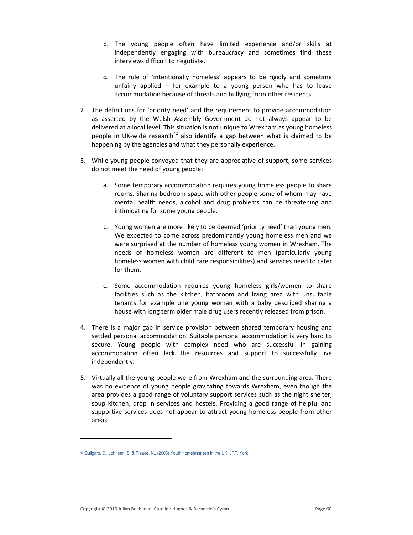- b. The young people often have limited experience and/or skills at independently engaging with bureaucracy and sometimes find these interviews difficult to negotiate.
- c. The rule of 'intentionally homeless' appears to be rigidly and sometime unfairly applied  $-$  for example to a young person who has to leave accommodation because of threats and bullying from other residents.
- 2. The definitions for 'priority need' and the requirement to provide accommodation as asserted by the Welsh Assembly Government do not always appear to be delivered at a local level. This situation is not unique to Wrexham as young homeless people in UK-wide research<sup>42</sup> also identify a gap between what is claimed to be happening by the agencies and what they personally experience.
- 3. While young people conveyed that they are appreciative of support, some services do not meet the need of young people:
	- a. Some temporary accommodation requires young homeless people to share rooms. Sharing bedroom space with other people some of whom may have mental health needs, alcohol and drug problems can be threatening and intimidating for some young people.
	- b. Young women are more likely to be deemed 'priority need' than young men. We expected to come across predominantly young homeless men and we were surprised at the number of homeless young women in Wrexham. The needs of homeless women are different to men (particularly young homeless women with child care responsibilities) and services need to cater for them
	- c. Some accommodation requires young homeless girls/women to share facilities such as the kitchen, bathroom and living area with unsuitable tenants for example one young woman with a baby described sharing a house with long term older male drug users recently released from prison.
- 4. There is a major gap in service provision between shared temporary housing and settled personal accommodation. Suitable personal accommodation is very hard to secure. Young people with complex need who are successful in gaining accommodation often lack the resources and support to successfully live independently.
- 5. Virtually all the young people were from Wrexham and the surrounding area. There was no evidence of young people gravitating towards Wrexham, even though the area provides a good range of voluntary support services such as the night shelter, soup kitchen, drop in services and hostels. Providing a good range of helpful and supportive services does not appear to attract young homeless people from other areas.

<sup>&</sup>lt;sup>42</sup> Quilgars, D., Johnsen, S. & Pleace, N., (2008) Youth homelessness in the UK, JRF, York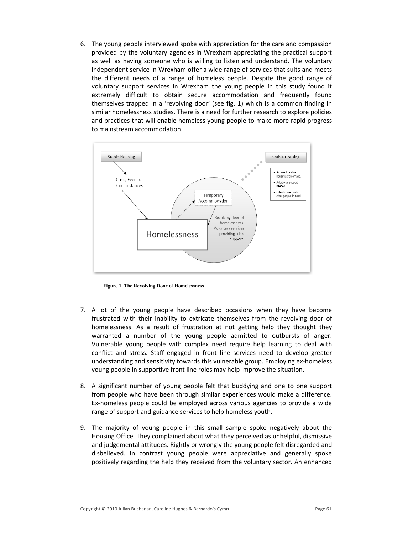6. The young people interviewed spoke with appreciation for the care and compassion provided by the voluntary agencies in Wrexham appreciating the practical support as well as having someone who is willing to listen and understand. The voluntary independent service in Wrexham offer a wide range of services that suits and meets the different needs of a range of homeless people. Despite the good range of voluntary support services in Wrexham the young people in this study found it extremely difficult to obtain secure accommodation and frequently found themselves trapped in a 'revolving door' (see fig. 1) which is a common finding in similar homelessness studies. There is a need for further research to explore policies and practices that will enable homeless young people to make more rapid progress to mainstream accommodation.



**Figure 1. The Revolving Door of Homelessness** 

- 7. A lot of the young people have described occasions when they have become frustrated with their inability to extricate themselves from the revolving door of homelessness. As a result of frustration at not getting help they thought they warranted a number of the young people admitted to outbursts of anger. Vulnerable young people with complex need require help learning to deal with conflict and stress. Staff engaged in front line services need to develop greater understanding and sensitivity towards this vulnerable group. Employing ex-homeless young people in supportive front line roles may help improve the situation.
- 8. A significant number of young people felt that buddying and one to one support from people who have been through similar experiences would make a difference. Ex-homeless people could be employed across various agencies to provide a wide range of support and guidance services to help homeless youth.
- 9. The majority of young people in this small sample spoke negatively about the Housing Office. They complained about what they perceived as unhelpful, dismissive and judgemental attitudes. Rightly or wrongly the young people felt disregarded and disbelieved. In contrast young people were appreciative and generally spoke positively regarding the help they received from the voluntary sector. An enhanced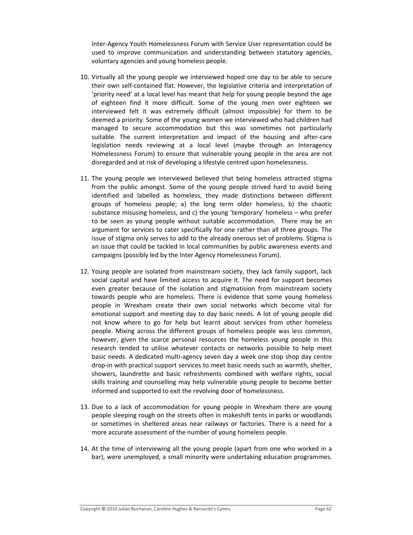Inter-Agency Youth Homelessness Forum with Service User representation could be used to improve communication and understanding between statutory agencies, voluntary agencies and young homeless people.

- 10. Virtually all the young people we interviewed hoped one day to be able to secure their own self-contained flat. However, the legislative criteria and interpretation of 'priority need' at a local level has meant that help for young people beyond the age of eighteen find it more difficult. Some of the young men over eighteen we interviewed felt it was extremely difficult (almost impossible) for them to be deemed a priority. Some of the young women we interviewed who had children had managed to secure accommodation but this was sometimes not particularly suitable. The current interpretation and impact of the housing and after-care legislation needs reviewing at a local level (maybe through an Interagency Homelessness Forum) to ensure that vulnerable young people in the area are not disregarded and at risk of developing a lifestyle centred upon homelessness.
- 11. The young people we interviewed believed that being homeless attracted stigma from the public amongst. Some of the young people strived hard to avoid being identified and labelled as homeless, they made distinctions between different groups of homeless people; a) the long term older homeless, b) the chaotic substance misusing homeless, and c) the young 'temporary' homeless – who prefer to be seen as young people without suitable accommodation. There may be an argument for services to cater specifically for one rather than all three groups. The issue of stigma only serves to add to the already onerous set of problems. Stigma is an issue that could be tackled in local communities by public awareness events and campaigns (possibly led by the Inter Agency Homelessness Forum).
- 12. Young people are isolated from mainstream society, they lack family support, lack social capital and have limited access to acquire it. The need for support becomes even greater because of the isolation and stigmatision from mainstream society towards people who are homeless. There is evidence that some young homeless people in Wrexham create their own social networks which become vital for emotional support and meeting day to day basic needs. A lot of young people did not know where to go for help but learnt about services from other homeless people. Mixing across the different groups of homeless people was less common, however, given the scarce personal resources the homeless young people in this research tended to utilise whatever contacts or networks possible to help meet basic needs. A dedicated multi-agency seven day a week one stop shop day centre drop-in with practical support services to meet basic needs such as warmth, shelter, showers, laundrette and basic refreshments combined with welfare rights, social skills training and counselling may help vulnerable young people to become better informed and supported to exit the revolving door of homelessness.
- 13. Due to a lack of accommodation for young people in Wrexham there are young people sleeping rough on the streets often in makeshift tents in parks or woodlands or sometimes in sheltered areas near railways or factories. There is a need for a more accurate assessment of the number of young homeless people.
- 14. At the time of interviewing all the young people (apart from one who worked in a bar), were unemployed, a small minority were undertaking education programmes.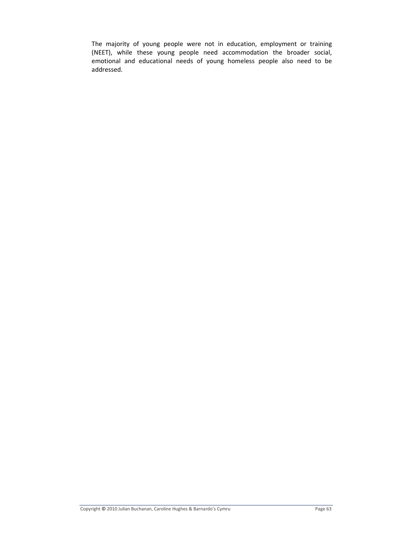The majority of young people were not in education, employment or training (NEET), while these young people need accommodation the broader social, emotional and educational needs of young homeless people also need to be addressed.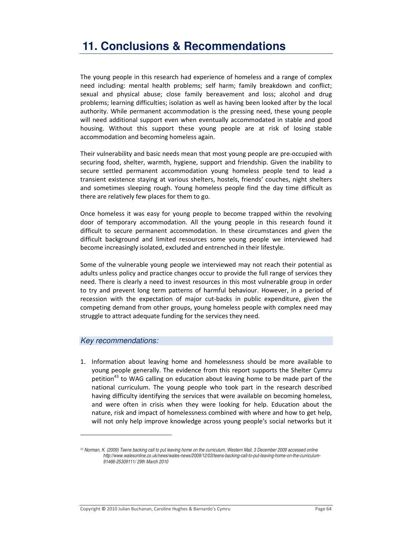## **11. Conclusions & Recommendations**

The young people in this research had experience of homeless and a range of complex need including: mental health problems; self harm; family breakdown and conflict; sexual and physical abuse; close family bereavement and loss; alcohol and drug problems; learning difficulties; isolation as well as having been looked after by the local authority. While permanent accommodation is the pressing need, these young people will need additional support even when eventually accommodated in stable and good housing. Without this support these young people are at risk of losing stable accommodation and becoming homeless again.

Their vulnerability and basic needs mean that most young people are pre-occupied with securing food, shelter, warmth, hygiene, support and friendship. Given the inability to secure settled permanent accommodation young homeless people tend to lead a transient existence staying at various shelters, hostels, friends' couches, night shelters and sometimes sleeping rough. Young homeless people find the day time difficult as there are relatively few places for them to go.

Once homeless it was easy for young people to become trapped within the revolving door of temporary accommodation. All the young people in this research found it difficult to secure permanent accommodation. In these circumstances and given the difficult background and limited resources some young people we interviewed had become increasingly isolated, excluded and entrenched in their lifestyle.

Some of the vulnerable young people we interviewed may not reach their potential as adults unless policy and practice changes occur to provide the full range of services they need. There is clearly a need to invest resources in this most vulnerable group in order to try and prevent long term patterns of harmful behaviour. However, in a period of recession with the expectation of major cut-backs in public expenditure, given the competing demand from other groups, young homeless people with complex need may struggle to attract adequate funding for the services they need.

#### *Key recommendations:*

1. Information about leaving home and homelessness should be more available to young people generally. The evidence from this report supports the Shelter Cymru petition<sup>43</sup> to WAG calling on education about leaving home to be made part of the national curriculum. The young people who took part in the research described having difficulty identifying the services that were available on becoming homeless, and were often in crisis when they were looking for help. Education about the nature, risk and impact of homelessness combined with where and how to get help, will not only help improve knowledge across young people's social networks but it

<sup>43</sup> Norman, K. (2009) Teens backing call to put leaving home on the curriculum, Western Mail, 3 December 2009 accessed online *http://www.walesonline.co.uk/news/wales-news/2009/12/03/teens-backing-call-to-put-leaving-home-on-the-curriculum-91466-25309111/ 29th March 2010*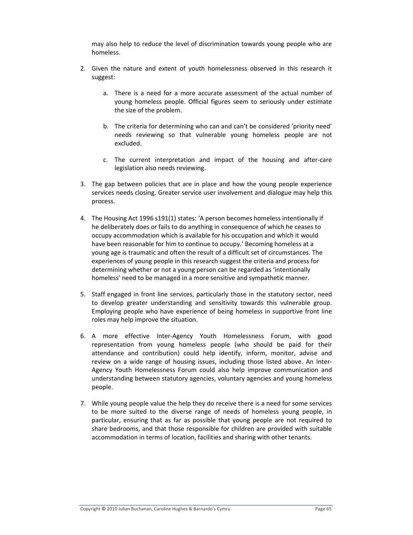may also help to reduce the level of discrimination towards young people who are homeless.

- 2. Given the nature and extent of youth homelessness observed in this research it suggest:
	- a. There is a need for a more accurate assessment of the actual number of young homeless people. Official figures seem to seriously under estimate the size of the problem.
	- b. The criteria for determining who can and can't be considered 'priority need' needs reviewing so that vulnerable young homeless people are not excluded.
	- c. The current interpretation and impact of the housing and after-care legislation also needs reviewing.
- 3. The gap between policies that are in place and how the young people experience services needs closing. Greater service user involvement and dialogue may help this process.
- 4. The Housing Act 1996 s191(1) states: 'A person becomes homeless intentionally if he deliberately does or fails to do anything in consequence of which he ceases to occupy accommodation which is available for his occupation and which it would have been reasonable for him to continue to occupy.' Becoming homeless at a young age is traumatic and often the result of a difficult set of circumstances. The experiences of young people in this research suggest the criteria and process for determining whether or not a young person can be regarded as 'intentionally homeless' need to be managed in a more sensitive and sympathetic manner.
- 5. Staff engaged in front line services, particularly those in the statutory sector, need to develop greater understanding and sensitivity towards this vulnerable group. Employing people who have experience of being homeless in supportive front line roles may help improve the situation.
- 6. A more effective Inter-Agency Youth Homelessness Forum, with good representation from young homeless people (who should be paid for their attendance and contribution) could help identify, inform, monitor, advise and review on a wide range of housing issues, including those listed above. An Inter-Agency Youth Homelessness Forum could also help improve communication and understanding between statutory agencies, voluntary agencies and young homeless people.
- 7. While young people value the help they do receive there is a need for some services to be more suited to the diverse range of needs of homeless young people, in particular, ensuring that as far as possible that young people are not required to share bedrooms, and that those responsible for children are provided with suitable accommodation in terms of location, facilities and sharing with other tenants.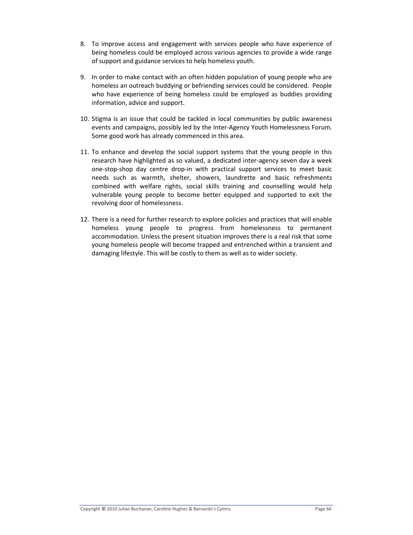- 8. To improve access and engagement with services people who have experience of being homeless could be employed across various agencies to provide a wide range of support and guidance services to help homeless youth.
- 9. In order to make contact with an often hidden population of young people who are homeless an outreach buddying or befriending services could be considered. People who have experience of being homeless could be employed as buddies providing information, advice and support.
- 10. Stigma is an issue that could be tackled in local communities by public awareness events and campaigns, possibly led by the Inter-Agency Youth Homelessness Forum. Some good work has already commenced in this area.
- 11. To enhance and develop the social support systems that the young people in this research have highlighted as so valued, a dedicated inter-agency seven day a week one-stop-shop day centre drop-in with practical support services to meet basic needs such as warmth, shelter, showers, laundrette and basic refreshments combined with welfare rights, social skills training and counselling would help vulnerable young people to become better equipped and supported to exit the revolving door of homelessness.
- 12. There is a need for further research to explore policies and practices that will enable homeless young people to progress from homelessness to permanent accommodation. Unless the present situation improves there is a real risk that some young homeless people will become trapped and entrenched within a transient and damaging lifestyle. This will be costly to them as well as to wider society.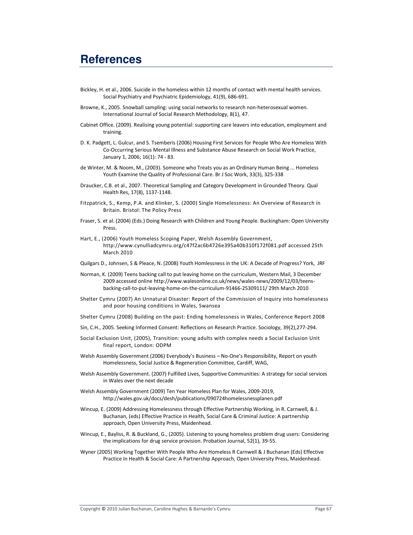### **References**

- Bickley, H. et al., 2006. Suicide in the homeless within 12 months of contact with mental health services. Social Psychiatry and Psychiatric Epidemiology, 41(9), 686-691.
- Browne, K., 2005. Snowball sampling: using social networks to research non-heterosexual women. International Journal of Social Research Methodology, 8(1), 47.
- Cabinet Office. (2009). Realising young potential: supporting care leavers into education, employment and training.
- D. K. Padgett, L. Gulcur, and S. Tsemberis (2006) Housing First Services for People Who Are Homeless With Co-Occurring Serious Mental Illness and Substance Abuse Research on Social Work Practice, January 1, 2006; 16(1): 74 - 83.
- de Winter, M. & Noom, M., (2003). Someone who Treats you as an Ordinary Human Being ... Homeless Youth Examine the Quality of Professional Care. Br J Soc Work, 33(3), 325-338
- Draucker, C.B. et al., 2007. Theoretical Sampling and Category Development in Grounded Theory. Qual Health Res, 17(8), 1137-1148.
- Fitzpatrick, S., Kemp, P.A. and Klinker, S. (2000) Single Homelessness: An Overview of Research in Britain. Bristol: The Policy Press
- Fraser, S. et al. (2004) (Eds.) Doing Research with Children and Young People. Buckingham: Open University Press.
- Hart, E., (2006) Youth Homeless Scoping Paper, Welsh Assembly Government, http://www.cynulliadcymru.org/c47f2ac6b4726e395a40b310f172f081.pdf accessed 25th **March 2010**
- Quilgars D., Johnsen, S & Pleace, N. (2008) Youth Homlessness in the UK: A Decade of Progress? York, JRF
- Norman, K. (2009) Teens backing call to put leaving home on the curriculum, Western Mail, 3 December 2009 accessed online http://www.walesonline.co.uk/news/wales-news/2009/12/03/teensbacking-call-to-put-leaving-home-on-the-curriculum-91466-25309111/29th March 2010
- Shelter Cymru (2007) An Unnatural Disaster: Report of the Commission of Inquiry into homelessness and poor housing conditions in Wales, Swansea
- Shelter Cymru (2008) Building on the past: Ending homelessness in Wales, Conference Report 2008
- Sin, C.H., 2005. Seeking Informed Consent: Reflections on Research Practice. Sociology, 39(2), 277-294.
- Social Exclusion Unit, (2005), Transition: young adults with complex needs a Social Exclusion Unit final report, London: ODPM
- Welsh Assembly Government (2006) Everybody's Business No-One's Responsibility, Report on youth Homelessness, Social Justice & Regeneration Committee, Cardiff, WAG,
- Welsh Assembly Government. (2007) Fulfilled Lives, Supportive Communities: A strategy for social services in Wales over the next decade
- Welsh Assembly Government (2009) Ten Year Homeless Plan for Wales, 2009-2019, http://wales.gov.uk/docs/desh/publications/090724homelessnessplanen.pdf
- Wincup, E. (2009) Addressing Homelessness through Effective Partnership Working, in R. Carnwell, & J. Buchanan, (eds) Effective Practice in Health, Social Care & Criminal Justice: A partnership approach, Open University Press, Maidenhead.
- Wincup, E., Bayliss, R. & Buckland, G., (2005). Listening to young homeless problem drug users: Considering the implications for drug service provision. Probation Journal, 52(1), 39-55.
- Wyner (2005) Working Together With People Who Are Homeless R Carnwell & J Buchanan (Eds) Effective Practice In Health & Social Care: A Partnership Approach, Open University Press, Maidenhead.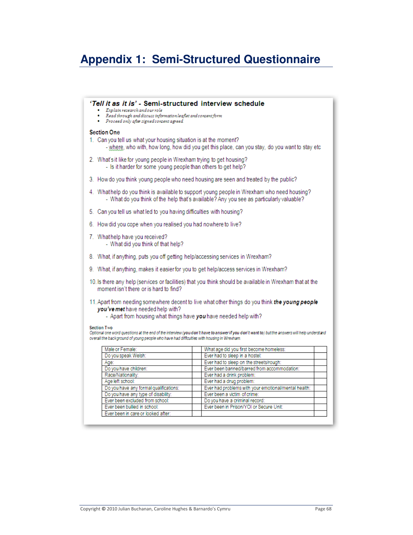# **Appendix 1: Semi-Structured Questionnaire**

| Explain research and our role<br>· Read through and discuss information leaflet and consent form<br>Proceed only after signed consent agreed<br><b>Section One</b><br>1. Can you tell us what your housing situation is at the moment?<br>- where, who with, how long, how did you get this place, can you stay, do you want to stay etc<br>2. What's it like for young people in Wrexham trying to get housing?<br>- Is it harder for some young people than others to get help?<br>3. How do you think young people who need housing are seen and treated by the public?<br>4. Whathelp do you think is available to support young people in Wrexham who need housing?<br>- What do you think of the help that's available? Any you see as particularly valuable?<br>5. Can you tell us what led to you having difficulties with housing?<br>6. How did you cope when you realised you had nowhere to live?<br>7. Whathelp have you received?<br>- What did you think of that help?<br>8. What, if anything, puts you off getting help/accessing services in Wrexham?<br>9. What, if anything, makes it easier for you to get help/access services in Wrexham?<br>10. Is there any help (services or facilities) that you think should be available in Wrexham that at the<br>moment isn't there or is hard to find?<br>11. Apart from needing somewhere decent to live what other things do you think the young people<br>you've met have needed help with?<br>- Apart from housing what things have you have needed help with?<br><b>Section Two</b><br>Optional one word questions at the end of the interview (you don't have to answer if you don't want to) but the answers will help understand<br>overall the background of young people who have had difficulties with housing in Wrexham.<br>Male or Female:<br>What age did you first become homeless:<br>Do you speak Welsh:<br>Ever had to sleep in a hostel:<br>Age:<br>Ever had to sleep on the streets/rough:<br>Ever been banned/barred from accommodation:<br>Do you have children:<br>Race/Nationality:<br>Ever had a drink problem:<br>Age left school:<br>Ever had a drug problem:<br>Do you have any formal qualifications:<br>Ever had problems with your emotional/mental health:<br>Do you have any type of disability:<br>Ever been a victim of crime:<br>Do you have a criminal record:<br>Ever been excluded from school:<br>Ever been in Prison/YOI or Secure Unit:<br>Ever been bullied in school:<br>Ever been in care or looked after: | 'Tell it as it is' - Semi-structured interview schedule |  |  |
|--------------------------------------------------------------------------------------------------------------------------------------------------------------------------------------------------------------------------------------------------------------------------------------------------------------------------------------------------------------------------------------------------------------------------------------------------------------------------------------------------------------------------------------------------------------------------------------------------------------------------------------------------------------------------------------------------------------------------------------------------------------------------------------------------------------------------------------------------------------------------------------------------------------------------------------------------------------------------------------------------------------------------------------------------------------------------------------------------------------------------------------------------------------------------------------------------------------------------------------------------------------------------------------------------------------------------------------------------------------------------------------------------------------------------------------------------------------------------------------------------------------------------------------------------------------------------------------------------------------------------------------------------------------------------------------------------------------------------------------------------------------------------------------------------------------------------------------------------------------------------------------------------------------------------------------------------------------------------------------------------------------------------------------------------------------------------------------------------------------------------------------------------------------------------------------------------------------------------------------------------------------------------------------------------------------------------------------------------------------------------------------------------------------------------------------------------------------------------------------------------------------------------|---------------------------------------------------------|--|--|
|                                                                                                                                                                                                                                                                                                                                                                                                                                                                                                                                                                                                                                                                                                                                                                                                                                                                                                                                                                                                                                                                                                                                                                                                                                                                                                                                                                                                                                                                                                                                                                                                                                                                                                                                                                                                                                                                                                                                                                                                                                                                                                                                                                                                                                                                                                                                                                                                                                                                                                                          |                                                         |  |  |
|                                                                                                                                                                                                                                                                                                                                                                                                                                                                                                                                                                                                                                                                                                                                                                                                                                                                                                                                                                                                                                                                                                                                                                                                                                                                                                                                                                                                                                                                                                                                                                                                                                                                                                                                                                                                                                                                                                                                                                                                                                                                                                                                                                                                                                                                                                                                                                                                                                                                                                                          |                                                         |  |  |
|                                                                                                                                                                                                                                                                                                                                                                                                                                                                                                                                                                                                                                                                                                                                                                                                                                                                                                                                                                                                                                                                                                                                                                                                                                                                                                                                                                                                                                                                                                                                                                                                                                                                                                                                                                                                                                                                                                                                                                                                                                                                                                                                                                                                                                                                                                                                                                                                                                                                                                                          |                                                         |  |  |
|                                                                                                                                                                                                                                                                                                                                                                                                                                                                                                                                                                                                                                                                                                                                                                                                                                                                                                                                                                                                                                                                                                                                                                                                                                                                                                                                                                                                                                                                                                                                                                                                                                                                                                                                                                                                                                                                                                                                                                                                                                                                                                                                                                                                                                                                                                                                                                                                                                                                                                                          |                                                         |  |  |
|                                                                                                                                                                                                                                                                                                                                                                                                                                                                                                                                                                                                                                                                                                                                                                                                                                                                                                                                                                                                                                                                                                                                                                                                                                                                                                                                                                                                                                                                                                                                                                                                                                                                                                                                                                                                                                                                                                                                                                                                                                                                                                                                                                                                                                                                                                                                                                                                                                                                                                                          |                                                         |  |  |
|                                                                                                                                                                                                                                                                                                                                                                                                                                                                                                                                                                                                                                                                                                                                                                                                                                                                                                                                                                                                                                                                                                                                                                                                                                                                                                                                                                                                                                                                                                                                                                                                                                                                                                                                                                                                                                                                                                                                                                                                                                                                                                                                                                                                                                                                                                                                                                                                                                                                                                                          |                                                         |  |  |
|                                                                                                                                                                                                                                                                                                                                                                                                                                                                                                                                                                                                                                                                                                                                                                                                                                                                                                                                                                                                                                                                                                                                                                                                                                                                                                                                                                                                                                                                                                                                                                                                                                                                                                                                                                                                                                                                                                                                                                                                                                                                                                                                                                                                                                                                                                                                                                                                                                                                                                                          |                                                         |  |  |
|                                                                                                                                                                                                                                                                                                                                                                                                                                                                                                                                                                                                                                                                                                                                                                                                                                                                                                                                                                                                                                                                                                                                                                                                                                                                                                                                                                                                                                                                                                                                                                                                                                                                                                                                                                                                                                                                                                                                                                                                                                                                                                                                                                                                                                                                                                                                                                                                                                                                                                                          |                                                         |  |  |
|                                                                                                                                                                                                                                                                                                                                                                                                                                                                                                                                                                                                                                                                                                                                                                                                                                                                                                                                                                                                                                                                                                                                                                                                                                                                                                                                                                                                                                                                                                                                                                                                                                                                                                                                                                                                                                                                                                                                                                                                                                                                                                                                                                                                                                                                                                                                                                                                                                                                                                                          |                                                         |  |  |
|                                                                                                                                                                                                                                                                                                                                                                                                                                                                                                                                                                                                                                                                                                                                                                                                                                                                                                                                                                                                                                                                                                                                                                                                                                                                                                                                                                                                                                                                                                                                                                                                                                                                                                                                                                                                                                                                                                                                                                                                                                                                                                                                                                                                                                                                                                                                                                                                                                                                                                                          |                                                         |  |  |
|                                                                                                                                                                                                                                                                                                                                                                                                                                                                                                                                                                                                                                                                                                                                                                                                                                                                                                                                                                                                                                                                                                                                                                                                                                                                                                                                                                                                                                                                                                                                                                                                                                                                                                                                                                                                                                                                                                                                                                                                                                                                                                                                                                                                                                                                                                                                                                                                                                                                                                                          |                                                         |  |  |
|                                                                                                                                                                                                                                                                                                                                                                                                                                                                                                                                                                                                                                                                                                                                                                                                                                                                                                                                                                                                                                                                                                                                                                                                                                                                                                                                                                                                                                                                                                                                                                                                                                                                                                                                                                                                                                                                                                                                                                                                                                                                                                                                                                                                                                                                                                                                                                                                                                                                                                                          |                                                         |  |  |
|                                                                                                                                                                                                                                                                                                                                                                                                                                                                                                                                                                                                                                                                                                                                                                                                                                                                                                                                                                                                                                                                                                                                                                                                                                                                                                                                                                                                                                                                                                                                                                                                                                                                                                                                                                                                                                                                                                                                                                                                                                                                                                                                                                                                                                                                                                                                                                                                                                                                                                                          |                                                         |  |  |
|                                                                                                                                                                                                                                                                                                                                                                                                                                                                                                                                                                                                                                                                                                                                                                                                                                                                                                                                                                                                                                                                                                                                                                                                                                                                                                                                                                                                                                                                                                                                                                                                                                                                                                                                                                                                                                                                                                                                                                                                                                                                                                                                                                                                                                                                                                                                                                                                                                                                                                                          |                                                         |  |  |
|                                                                                                                                                                                                                                                                                                                                                                                                                                                                                                                                                                                                                                                                                                                                                                                                                                                                                                                                                                                                                                                                                                                                                                                                                                                                                                                                                                                                                                                                                                                                                                                                                                                                                                                                                                                                                                                                                                                                                                                                                                                                                                                                                                                                                                                                                                                                                                                                                                                                                                                          |                                                         |  |  |
|                                                                                                                                                                                                                                                                                                                                                                                                                                                                                                                                                                                                                                                                                                                                                                                                                                                                                                                                                                                                                                                                                                                                                                                                                                                                                                                                                                                                                                                                                                                                                                                                                                                                                                                                                                                                                                                                                                                                                                                                                                                                                                                                                                                                                                                                                                                                                                                                                                                                                                                          |                                                         |  |  |
|                                                                                                                                                                                                                                                                                                                                                                                                                                                                                                                                                                                                                                                                                                                                                                                                                                                                                                                                                                                                                                                                                                                                                                                                                                                                                                                                                                                                                                                                                                                                                                                                                                                                                                                                                                                                                                                                                                                                                                                                                                                                                                                                                                                                                                                                                                                                                                                                                                                                                                                          |                                                         |  |  |
|                                                                                                                                                                                                                                                                                                                                                                                                                                                                                                                                                                                                                                                                                                                                                                                                                                                                                                                                                                                                                                                                                                                                                                                                                                                                                                                                                                                                                                                                                                                                                                                                                                                                                                                                                                                                                                                                                                                                                                                                                                                                                                                                                                                                                                                                                                                                                                                                                                                                                                                          |                                                         |  |  |
|                                                                                                                                                                                                                                                                                                                                                                                                                                                                                                                                                                                                                                                                                                                                                                                                                                                                                                                                                                                                                                                                                                                                                                                                                                                                                                                                                                                                                                                                                                                                                                                                                                                                                                                                                                                                                                                                                                                                                                                                                                                                                                                                                                                                                                                                                                                                                                                                                                                                                                                          |                                                         |  |  |
|                                                                                                                                                                                                                                                                                                                                                                                                                                                                                                                                                                                                                                                                                                                                                                                                                                                                                                                                                                                                                                                                                                                                                                                                                                                                                                                                                                                                                                                                                                                                                                                                                                                                                                                                                                                                                                                                                                                                                                                                                                                                                                                                                                                                                                                                                                                                                                                                                                                                                                                          |                                                         |  |  |
|                                                                                                                                                                                                                                                                                                                                                                                                                                                                                                                                                                                                                                                                                                                                                                                                                                                                                                                                                                                                                                                                                                                                                                                                                                                                                                                                                                                                                                                                                                                                                                                                                                                                                                                                                                                                                                                                                                                                                                                                                                                                                                                                                                                                                                                                                                                                                                                                                                                                                                                          |                                                         |  |  |
|                                                                                                                                                                                                                                                                                                                                                                                                                                                                                                                                                                                                                                                                                                                                                                                                                                                                                                                                                                                                                                                                                                                                                                                                                                                                                                                                                                                                                                                                                                                                                                                                                                                                                                                                                                                                                                                                                                                                                                                                                                                                                                                                                                                                                                                                                                                                                                                                                                                                                                                          |                                                         |  |  |
|                                                                                                                                                                                                                                                                                                                                                                                                                                                                                                                                                                                                                                                                                                                                                                                                                                                                                                                                                                                                                                                                                                                                                                                                                                                                                                                                                                                                                                                                                                                                                                                                                                                                                                                                                                                                                                                                                                                                                                                                                                                                                                                                                                                                                                                                                                                                                                                                                                                                                                                          |                                                         |  |  |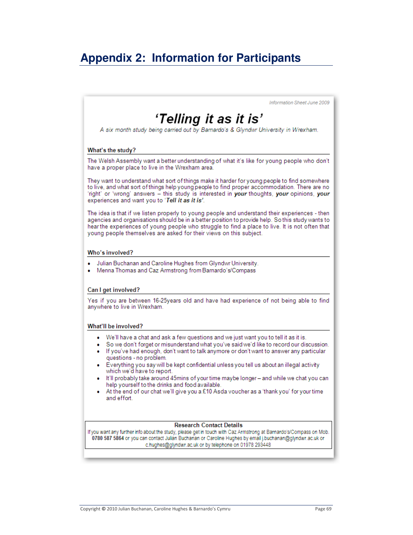## **Appendix 2: Information for Participants**

Information Sheet June 2009

# 'Telling it as it is'

A six month study being carried out by Barnardo's & Glyndwr University in Wrexham.

#### What's the study?

The Welsh Assembly want a better understanding of what it's like for young people who don't have a proper place to live in the Wrexham area.

They want to understand what sort of things make it harder for young people to find somewhere to live, and what sort of things help young people to find proper accommodation. There are no 'right' or 'wrong' answers - this study is interested in your thoughts, your opinions, your experiences and want you to 'Tell it as it is'.

The idea is that if we listen properly to young people and understand their experiences - then agencies and organisations should be in a better position to provide help. So this study wants to hear the experiences of young people who struggle to find a place to live. It is not often that young people themselves are asked for their views on this subject.

#### Who's involved?

- Julian Buchanan and Caroline Hughes from Glyndwr University.
- Menna Thomas and Caz Armstrong from Barnardo's/Compass

#### Can I get involved?

Yes if you are between 16-25years old and have had experience of not being able to find anywhere to live in Wrexham.

#### What'll be involved?

- We'll have a chat and ask a few questions and we just want you to tell it as it is.
- So we don't forget or misunderstand what you've said we'd like to record our discussion.
- If you've had enough, don't want to talk anymore or don't want to answer any particular questions - no problem.
- . Everything you say will be kept confidential unless you tell us about an illegal activity which we'd have to report.
- It'll probably take around 45mins of your time maybe longer and while we chat you can help yourself to the drinks and food available.
- At the end of our chat we'll give you a £10 Asda voucher as a 'thank you' for your time and effort.

#### **Research Contact Details**

If you want any further info about the study, please get in touch with Caz Armstrong at Barnardo's/Compass on Mob. 0780 587 5864 or you can contact Julian Buchanan or Caroline Hughes by email j.buchanan@glyndwr.ac.uk or c.hughes@glyndwr.ac.uk or by telephone on 01978 293448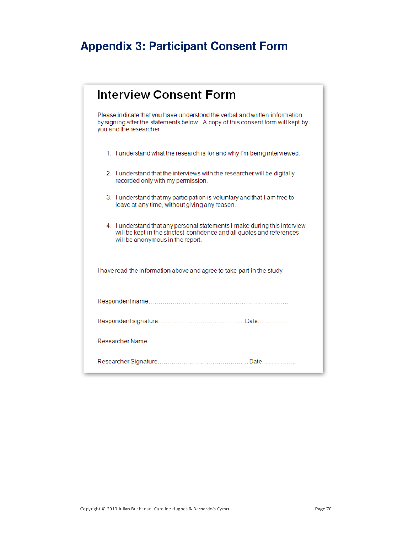# **Appendix 3: Participant Consent Form**

| <b>Interview Consent Form</b>                                                                                                                                                             |
|-------------------------------------------------------------------------------------------------------------------------------------------------------------------------------------------|
| Please indicate that you have understood the verbal and written information<br>by signing after the statements below. A copy of this consent form will kept by<br>you and the researcher. |
| 1. I understand what the research is for and why I'm being interviewed.                                                                                                                   |
| 2. I understand that the interviews with the researcher will be digitally<br>recorded only with my permission.                                                                            |
| 3. I understand that my participation is voluntary and that I am free to<br>leave at any time, without giving any reason.                                                                 |
| 4. I understand that any personal statements I make during this interview<br>will be kept in the strictest confidence and all quotes and references<br>will be anonymous in the report.   |
| I have read the information above and agree to take part in the study                                                                                                                     |
|                                                                                                                                                                                           |
|                                                                                                                                                                                           |
|                                                                                                                                                                                           |
|                                                                                                                                                                                           |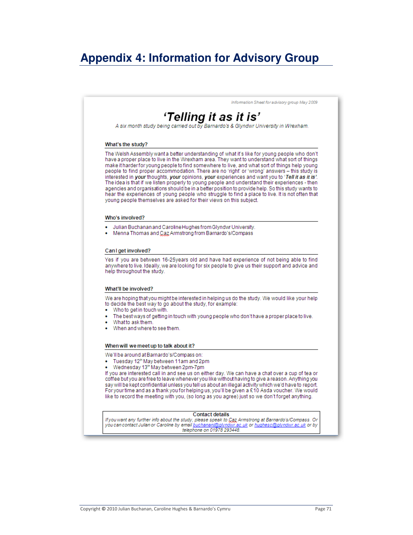# **Appendix 4: Information for Advisory Group**

Information Sheet for advisory group May 2009 'Telling it as it is' A six month study being carried out by Barnardo's & Glyndwr University in Wrexham. What's the study? The Welsh Assembly want a better understanding of what it's like for young people who don't have a proper place to live in the Wrexham area. They want to understand what sort of things make it harder for young people to find somewhere to live, and what sort of things help young people to find proper accommodation. There are no 'right' or 'wrong' answers - this study is interested in your thoughts, your opinions, your experiences and want you to 'Tell it as it is'. The idea is that if we listen properly to young people and understand their experiences - then agencies and organisations should be in a better position to provide help. So this study wants to hear the experiences of young people who struggle to find a place to live. It is not often that young people themselves are asked for their views on this subject. Who's involved? . Julian Buchanan and Caroline Hughes from Glyndwr University. • Menna Thomas and Caz Armstrong from Barnardo's/Compass Can I get involved? Yes if you are between 16-25years old and have had experience of not being able to find anywhere to live. Ideally, we are looking for six people to give us their support and advice and help throughout the study. What'll be involved? We are hoping that you might be interested in helping us do the study. We would like your help to decide the best way to go about the study, for example: Who to get in touch with.  $\bullet$ The best ways of getting in touch with young people who don't have a proper place to live. What to ask them. When and where to see them. When will we meet up to talk about it? We'll be around at Barnardo's/Compass on: • Tuesday 12th May between 11am and 2pm Wednesday 13th May between 2pm-7pm If you are interested call in and see us on either day. We can have a chat over a cup of tea or coffee but you are free to leave whenever you like without having to give a reason. Anything you say will be kept confidential unless you tell us about an illegal activity which we'd have to report. For your time and as a thank you for helping us, you'll be given a £10 Asda voucher. We would like to record the meeting with you, (so long as you agree) just so we don't forget anything. Contact details If you want any further info about the study, please speak to Caz, Armstrong at Barnardo's/Compass. Or<br>you can contact Julian or Caroline by email <u>buchanani@glyndwr.ac.uk</u> or <u>hughesc@glyndwr.ac.uk</u> or by telephone on 01978 293448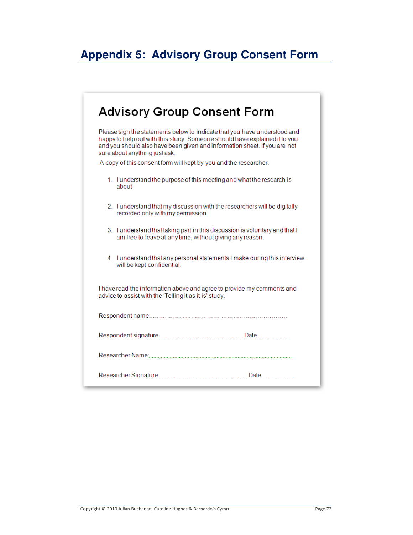# **Appendix 5: Advisory Group Consent Form**

| <b>Advisory Group Consent Form</b>                                                                                                                                                                                                                                    |
|-----------------------------------------------------------------------------------------------------------------------------------------------------------------------------------------------------------------------------------------------------------------------|
| Please sign the statements below to indicate that you have understood and<br>happy to help out with this study. Someone should have explained it to you<br>and you should also have been given and information sheet. If you are not<br>sure about anything just ask. |
| A copy of this consent form will kept by you and the researcher.                                                                                                                                                                                                      |
| 1. I understand the purpose of this meeting and what the research is<br>about                                                                                                                                                                                         |
| 2. I understand that my discussion with the researchers will be digitally<br>recorded only with my permission.                                                                                                                                                        |
| 3. I understand that taking part in this discussion is voluntary and that I<br>am free to leave at any time, without giving any reason.                                                                                                                               |
| 4. I understand that any personal statements I make during this interview<br>will be kept confidential.                                                                                                                                                               |
| I have read the information above and agree to provide my comments and<br>advice to assist with the 'Telling it as it is' study.                                                                                                                                      |
|                                                                                                                                                                                                                                                                       |
|                                                                                                                                                                                                                                                                       |
| Researcher Name: www.www.www.www.www.www.ww                                                                                                                                                                                                                           |
|                                                                                                                                                                                                                                                                       |